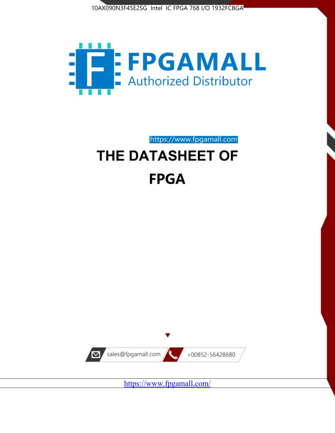



https://www.fpgamall.com

# THE DATASHEET OF **FPGA**



<https://www.fpgamall.com/>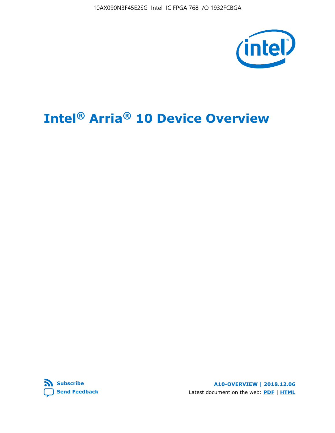10AX090N3F45E2SG Intel IC FPGA 768 I/O 1932FCBGA



# **Intel® Arria® 10 Device Overview**



**A10-OVERVIEW | 2018.12.06** Latest document on the web: **[PDF](https://www.intel.com/content/dam/www/programmable/us/en/pdfs/literature/hb/arria-10/a10_overview.pdf)** | **[HTML](https://www.intel.com/content/www/us/en/programmable/documentation/sam1403480274650.html)**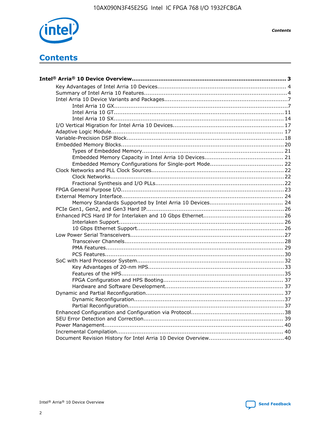

**Contents** 

# **Contents**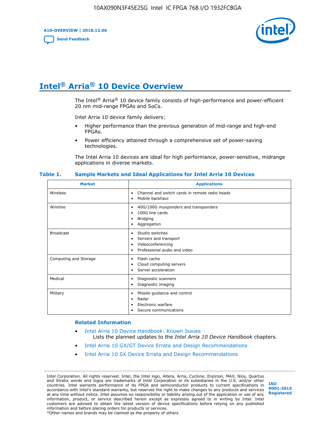**A10-OVERVIEW | 2018.12.06**

**[Send Feedback](mailto:FPGAtechdocfeedback@intel.com?subject=Feedback%20on%20Intel%20Arria%2010%20Device%20Overview%20(A10-OVERVIEW%202018.12.06)&body=We%20appreciate%20your%20feedback.%20In%20your%20comments,%20also%20specify%20the%20page%20number%20or%20paragraph.%20Thank%20you.)**



# **Intel® Arria® 10 Device Overview**

The Intel<sup>®</sup> Arria<sup>®</sup> 10 device family consists of high-performance and power-efficient 20 nm mid-range FPGAs and SoCs.

Intel Arria 10 device family delivers:

- Higher performance than the previous generation of mid-range and high-end FPGAs.
- Power efficiency attained through a comprehensive set of power-saving technologies.

The Intel Arria 10 devices are ideal for high performance, power-sensitive, midrange applications in diverse markets.

| <b>Market</b>         | <b>Applications</b>                                                                                               |
|-----------------------|-------------------------------------------------------------------------------------------------------------------|
| Wireless              | Channel and switch cards in remote radio heads<br>٠<br>Mobile backhaul<br>٠                                       |
| Wireline              | 40G/100G muxponders and transponders<br>٠<br>100G line cards<br>٠<br><b>Bridging</b><br>٠<br>Aggregation<br>٠     |
| <b>Broadcast</b>      | Studio switches<br>٠<br>Servers and transport<br>٠<br>Videoconferencing<br>٠<br>Professional audio and video<br>٠ |
| Computing and Storage | Flash cache<br>٠<br>Cloud computing servers<br>٠<br>Server acceleration<br>٠                                      |
| Medical               | Diagnostic scanners<br>٠<br>Diagnostic imaging<br>٠                                                               |
| Military              | Missile guidance and control<br>٠<br>Radar<br>٠<br>Electronic warfare<br>٠<br>Secure communications<br>٠          |

#### **Table 1. Sample Markets and Ideal Applications for Intel Arria 10 Devices**

#### **Related Information**

- [Intel Arria 10 Device Handbook: Known Issues](http://www.altera.com/support/kdb/solutions/rd07302013_646.html) Lists the planned updates to the *Intel Arria 10 Device Handbook* chapters.
- [Intel Arria 10 GX/GT Device Errata and Design Recommendations](https://www.intel.com/content/www/us/en/programmable/documentation/agz1493851706374.html#yqz1494433888646)
- [Intel Arria 10 SX Device Errata and Design Recommendations](https://www.intel.com/content/www/us/en/programmable/documentation/cru1462832385668.html#cru1462832558642)

Intel Corporation. All rights reserved. Intel, the Intel logo, Altera, Arria, Cyclone, Enpirion, MAX, Nios, Quartus and Stratix words and logos are trademarks of Intel Corporation or its subsidiaries in the U.S. and/or other countries. Intel warrants performance of its FPGA and semiconductor products to current specifications in accordance with Intel's standard warranty, but reserves the right to make changes to any products and services at any time without notice. Intel assumes no responsibility or liability arising out of the application or use of any information, product, or service described herein except as expressly agreed to in writing by Intel. Intel customers are advised to obtain the latest version of device specifications before relying on any published information and before placing orders for products or services. \*Other names and brands may be claimed as the property of others.

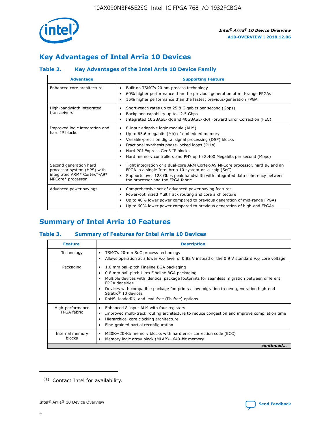

# **Key Advantages of Intel Arria 10 Devices**

## **Table 2. Key Advantages of the Intel Arria 10 Device Family**

| <b>Advantage</b>                                                                                          | <b>Supporting Feature</b>                                                                                                                                                                                                                                                                                                     |
|-----------------------------------------------------------------------------------------------------------|-------------------------------------------------------------------------------------------------------------------------------------------------------------------------------------------------------------------------------------------------------------------------------------------------------------------------------|
| Enhanced core architecture                                                                                | Built on TSMC's 20 nm process technology<br>٠<br>60% higher performance than the previous generation of mid-range FPGAs<br>٠<br>15% higher performance than the fastest previous-generation FPGA<br>٠                                                                                                                         |
| High-bandwidth integrated<br>transceivers                                                                 | Short-reach rates up to 25.8 Gigabits per second (Gbps)<br>٠<br>Backplane capability up to 12.5 Gbps<br>٠<br>Integrated 10GBASE-KR and 40GBASE-KR4 Forward Error Correction (FEC)<br>٠                                                                                                                                        |
| Improved logic integration and<br>hard IP blocks                                                          | 8-input adaptive logic module (ALM)<br>٠<br>Up to 65.6 megabits (Mb) of embedded memory<br>٠<br>Variable-precision digital signal processing (DSP) blocks<br>Fractional synthesis phase-locked loops (PLLs)<br>٠<br>Hard PCI Express Gen3 IP blocks<br>Hard memory controllers and PHY up to 2,400 Megabits per second (Mbps) |
| Second generation hard<br>processor system (HPS) with<br>integrated ARM* Cortex*-A9*<br>MPCore* processor | Tight integration of a dual-core ARM Cortex-A9 MPCore processor, hard IP, and an<br>٠<br>FPGA in a single Intel Arria 10 system-on-a-chip (SoC)<br>Supports over 128 Gbps peak bandwidth with integrated data coherency between<br>$\bullet$<br>the processor and the FPGA fabric                                             |
| Advanced power savings                                                                                    | Comprehensive set of advanced power saving features<br>٠<br>Power-optimized MultiTrack routing and core architecture<br>٠<br>Up to 40% lower power compared to previous generation of mid-range FPGAs<br>٠<br>Up to 60% lower power compared to previous generation of high-end FPGAs<br>٠                                    |

# **Summary of Intel Arria 10 Features**

## **Table 3. Summary of Features for Intel Arria 10 Devices**

| <b>Feature</b>                  | <b>Description</b>                                                                                                                                                                                                                                                                                                                                                                                           |
|---------------------------------|--------------------------------------------------------------------------------------------------------------------------------------------------------------------------------------------------------------------------------------------------------------------------------------------------------------------------------------------------------------------------------------------------------------|
| Technology                      | TSMC's 20-nm SoC process technology<br>Allows operation at a lower $V_{\text{CC}}$ level of 0.82 V instead of the 0.9 V standard $V_{\text{CC}}$ core voltage                                                                                                                                                                                                                                                |
| Packaging                       | 1.0 mm ball-pitch Fineline BGA packaging<br>٠<br>0.8 mm ball-pitch Ultra Fineline BGA packaging<br>Multiple devices with identical package footprints for seamless migration between different<br><b>FPGA</b> densities<br>Devices with compatible package footprints allow migration to next generation high-end<br>Stratix <sup>®</sup> 10 devices<br>RoHS, leaded $(1)$ , and lead-free (Pb-free) options |
| High-performance<br>FPGA fabric | Enhanced 8-input ALM with four registers<br>Improved multi-track routing architecture to reduce congestion and improve compilation time<br>Hierarchical core clocking architecture<br>Fine-grained partial reconfiguration                                                                                                                                                                                   |
| Internal memory<br>blocks       | M20K-20-Kb memory blocks with hard error correction code (ECC)<br>Memory logic array block (MLAB)-640-bit memory                                                                                                                                                                                                                                                                                             |
|                                 | continued                                                                                                                                                                                                                                                                                                                                                                                                    |



<sup>(1)</sup> Contact Intel for availability.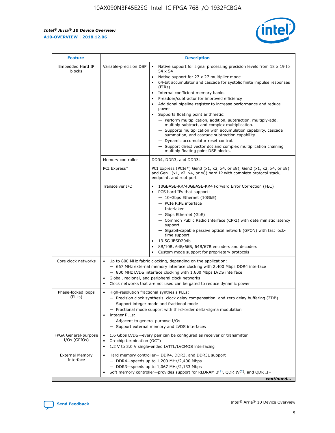$\mathsf{r}$ 



| <b>Feature</b>                         |                                                                                                                | <b>Description</b>                                                                                                                                                                                                                                                                                                                                                                                                                                                                                                                                                                                                                                                                                                                                                                                                                          |
|----------------------------------------|----------------------------------------------------------------------------------------------------------------|---------------------------------------------------------------------------------------------------------------------------------------------------------------------------------------------------------------------------------------------------------------------------------------------------------------------------------------------------------------------------------------------------------------------------------------------------------------------------------------------------------------------------------------------------------------------------------------------------------------------------------------------------------------------------------------------------------------------------------------------------------------------------------------------------------------------------------------------|
| Embedded Hard IP<br>blocks             | Variable-precision DSP                                                                                         | Native support for signal processing precision levels from $18 \times 19$ to<br>$\bullet$<br>54 x 54<br>Native support for 27 x 27 multiplier mode<br>64-bit accumulator and cascade for systolic finite impulse responses<br>(FIRs)<br>Internal coefficient memory banks<br>٠<br>Preadder/subtractor for improved efficiency<br>Additional pipeline register to increase performance and reduce<br>power<br>Supports floating point arithmetic:<br>- Perform multiplication, addition, subtraction, multiply-add,<br>multiply-subtract, and complex multiplication.<br>- Supports multiplication with accumulation capability, cascade<br>summation, and cascade subtraction capability.<br>- Dynamic accumulator reset control.<br>- Support direct vector dot and complex multiplication chaining<br>multiply floating point DSP blocks. |
|                                        | Memory controller                                                                                              | DDR4, DDR3, and DDR3L                                                                                                                                                                                                                                                                                                                                                                                                                                                                                                                                                                                                                                                                                                                                                                                                                       |
|                                        | PCI Express*                                                                                                   | PCI Express (PCIe*) Gen3 (x1, x2, x4, or x8), Gen2 (x1, x2, x4, or x8)<br>and Gen1 (x1, x2, x4, or x8) hard IP with complete protocol stack,<br>endpoint, and root port                                                                                                                                                                                                                                                                                                                                                                                                                                                                                                                                                                                                                                                                     |
|                                        | Transceiver I/O                                                                                                | 10GBASE-KR/40GBASE-KR4 Forward Error Correction (FEC)<br>PCS hard IPs that support:<br>- 10-Gbps Ethernet (10GbE)<br>- PCIe PIPE interface<br>- Interlaken<br>- Gbps Ethernet (GbE)<br>- Common Public Radio Interface (CPRI) with deterministic latency<br>support<br>- Gigabit-capable passive optical network (GPON) with fast lock-<br>time support<br>13.5G JESD204b<br>$\bullet$<br>8B/10B, 64B/66B, 64B/67B encoders and decoders<br>Custom mode support for proprietary protocols                                                                                                                                                                                                                                                                                                                                                   |
| Core clock networks                    | $\bullet$<br>$\bullet$                                                                                         | Up to 800 MHz fabric clocking, depending on the application:<br>- 667 MHz external memory interface clocking with 2,400 Mbps DDR4 interface<br>- 800 MHz LVDS interface clocking with 1,600 Mbps LVDS interface<br>Global, regional, and peripheral clock networks<br>Clock networks that are not used can be gated to reduce dynamic power                                                                                                                                                                                                                                                                                                                                                                                                                                                                                                 |
| Phase-locked loops<br>(PLLs)           | High-resolution fractional synthesis PLLs:<br>$\bullet$<br>Integer PLLs:<br>- Adjacent to general purpose I/Os | - Precision clock synthesis, clock delay compensation, and zero delay buffering (ZDB)<br>- Support integer mode and fractional mode<br>- Fractional mode support with third-order delta-sigma modulation<br>- Support external memory and LVDS interfaces                                                                                                                                                                                                                                                                                                                                                                                                                                                                                                                                                                                   |
| FPGA General-purpose<br>$I/Os$ (GPIOs) | On-chip termination (OCT)<br>$\bullet$                                                                         | 1.6 Gbps LVDS-every pair can be configured as receiver or transmitter<br>1.2 V to 3.0 V single-ended LVTTL/LVCMOS interfacing                                                                                                                                                                                                                                                                                                                                                                                                                                                                                                                                                                                                                                                                                                               |
| <b>External Memory</b><br>Interface    |                                                                                                                | Hard memory controller- DDR4, DDR3, and DDR3L support<br>$-$ DDR4-speeds up to 1,200 MHz/2,400 Mbps<br>- DDR3-speeds up to 1,067 MHz/2,133 Mbps<br>Soft memory controller—provides support for RLDRAM $3^{(2)}$ , QDR IV $(2^2)$ , and QDR II+<br>continued                                                                                                                                                                                                                                                                                                                                                                                                                                                                                                                                                                                 |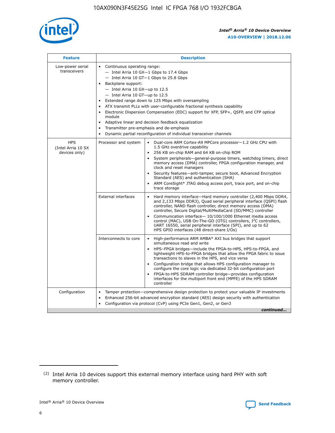

| <b>Feature</b>                                    | <b>Description</b>                                                                                                                                                                                                                                                                                                                                                                                                                                                                                                                                                                                                                             |
|---------------------------------------------------|------------------------------------------------------------------------------------------------------------------------------------------------------------------------------------------------------------------------------------------------------------------------------------------------------------------------------------------------------------------------------------------------------------------------------------------------------------------------------------------------------------------------------------------------------------------------------------------------------------------------------------------------|
| Low-power serial<br>transceivers                  | • Continuous operating range:<br>- Intel Arria 10 GX-1 Gbps to 17.4 Gbps<br>- Intel Arria 10 GT-1 Gbps to 25.8 Gbps<br>Backplane support:<br>$-$ Intel Arria 10 GX-up to 12.5<br>$-$ Intel Arria 10 GT-up to 12.5<br>Extended range down to 125 Mbps with oversampling<br>ATX transmit PLLs with user-configurable fractional synthesis capability<br>• Electronic Dispersion Compensation (EDC) support for XFP, SFP+, QSFP, and CFP optical<br>module<br>• Adaptive linear and decision feedback equalization<br>Transmitter pre-emphasis and de-emphasis<br>$\bullet$<br>Dynamic partial reconfiguration of individual transceiver channels |
| <b>HPS</b><br>(Intel Arria 10 SX<br>devices only) | Processor and system<br>Dual-core ARM Cortex-A9 MPCore processor-1.2 GHz CPU with<br>$\bullet$<br>1.5 GHz overdrive capability<br>256 KB on-chip RAM and 64 KB on-chip ROM<br>$\bullet$<br>System peripherals-general-purpose timers, watchdog timers, direct<br>memory access (DMA) controller, FPGA configuration manager, and<br>clock and reset managers<br>• Security features—anti-tamper, secure boot, Advanced Encryption<br>Standard (AES) and authentication (SHA)<br>ARM CoreSight* JTAG debug access port, trace port, and on-chip<br>trace storage                                                                                |
|                                                   | <b>External interfaces</b><br>Hard memory interface—Hard memory controller (2,400 Mbps DDR4,<br>$\bullet$<br>and 2,133 Mbps DDR3), Quad serial peripheral interface (QSPI) flash<br>controller, NAND flash controller, direct memory access (DMA)<br>controller, Secure Digital/MultiMediaCard (SD/MMC) controller<br>Communication interface-10/100/1000 Ethernet media access<br>control (MAC), USB On-The-GO (OTG) controllers, I <sup>2</sup> C controllers,<br>UART 16550, serial peripheral interface (SPI), and up to 62<br>HPS GPIO interfaces (48 direct-share I/Os)                                                                  |
|                                                   | High-performance ARM AMBA* AXI bus bridges that support<br>Interconnects to core<br>$\bullet$<br>simultaneous read and write<br>HPS-FPGA bridges—include the FPGA-to-HPS, HPS-to-FPGA, and<br>$\bullet$<br>lightweight HPS-to-FPGA bridges that allow the FPGA fabric to issue<br>transactions to slaves in the HPS, and vice versa<br>Configuration bridge that allows HPS configuration manager to<br>configure the core logic via dedicated 32-bit configuration port<br>FPGA-to-HPS SDRAM controller bridge-provides configuration<br>interfaces for the multiport front end (MPFE) of the HPS SDRAM<br>controller                         |
| Configuration                                     | Tamper protection—comprehensive design protection to protect your valuable IP investments<br>Enhanced 256-bit advanced encryption standard (AES) design security with authentication<br>$\bullet$<br>Configuration via protocol (CvP) using PCIe Gen1, Gen2, or Gen3<br>continued                                                                                                                                                                                                                                                                                                                                                              |

<sup>(2)</sup> Intel Arria 10 devices support this external memory interface using hard PHY with soft memory controller.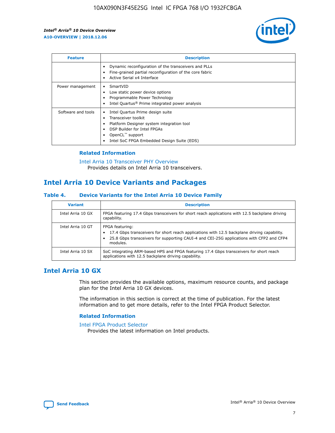

| <b>Feature</b>     | <b>Description</b>                                                                                                                                                                                                            |
|--------------------|-------------------------------------------------------------------------------------------------------------------------------------------------------------------------------------------------------------------------------|
|                    | Dynamic reconfiguration of the transceivers and PLLs<br>Fine-grained partial reconfiguration of the core fabric<br>Active Serial x4 Interface<br>$\bullet$                                                                    |
| Power management   | SmartVID<br>Low static power device options<br>Programmable Power Technology<br>Intel Quartus <sup>®</sup> Prime integrated power analysis                                                                                    |
| Software and tools | Intel Quartus Prime design suite<br>Transceiver toolkit<br>$\bullet$<br>Platform Designer system integration tool<br>DSP Builder for Intel FPGAs<br>OpenCL <sup>™</sup> support<br>Intel SoC FPGA Embedded Design Suite (EDS) |

## **Related Information**

[Intel Arria 10 Transceiver PHY Overview](https://www.intel.com/content/www/us/en/programmable/documentation/nik1398707230472.html#nik1398706768037) Provides details on Intel Arria 10 transceivers.

# **Intel Arria 10 Device Variants and Packages**

#### **Table 4. Device Variants for the Intel Arria 10 Device Family**

| <b>Variant</b>    | <b>Description</b>                                                                                                                                                                                                     |
|-------------------|------------------------------------------------------------------------------------------------------------------------------------------------------------------------------------------------------------------------|
| Intel Arria 10 GX | FPGA featuring 17.4 Gbps transceivers for short reach applications with 12.5 backplane driving<br>capability.                                                                                                          |
| Intel Arria 10 GT | FPGA featuring:<br>17.4 Gbps transceivers for short reach applications with 12.5 backplane driving capability.<br>25.8 Gbps transceivers for supporting CAUI-4 and CEI-25G applications with CFP2 and CFP4<br>modules. |
| Intel Arria 10 SX | SoC integrating ARM-based HPS and FPGA featuring 17.4 Gbps transceivers for short reach<br>applications with 12.5 backplane driving capability.                                                                        |

## **Intel Arria 10 GX**

This section provides the available options, maximum resource counts, and package plan for the Intel Arria 10 GX devices.

The information in this section is correct at the time of publication. For the latest information and to get more details, refer to the Intel FPGA Product Selector.

#### **Related Information**

#### [Intel FPGA Product Selector](http://www.altera.com/products/selector/psg-selector.html) Provides the latest information on Intel products.

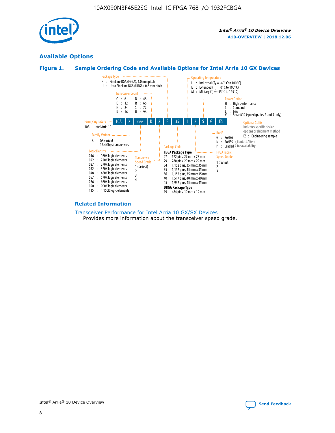

## **Available Options**





#### **Related Information**

[Transceiver Performance for Intel Arria 10 GX/SX Devices](https://www.intel.com/content/www/us/en/programmable/documentation/mcn1413182292568.html#mcn1413213965502) Provides more information about the transceiver speed grade.

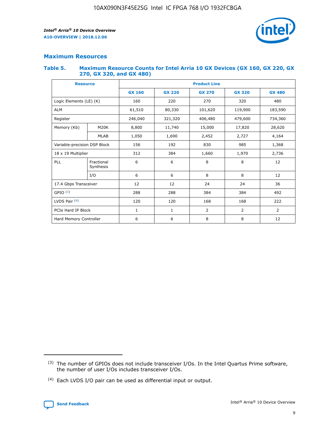

## **Maximum Resources**

#### **Table 5. Maximum Resource Counts for Intel Arria 10 GX Devices (GX 160, GX 220, GX 270, GX 320, and GX 480)**

| <b>Resource</b>         |                              | <b>Product Line</b> |                                                 |                |                |                |  |  |
|-------------------------|------------------------------|---------------------|-------------------------------------------------|----------------|----------------|----------------|--|--|
|                         |                              | <b>GX 160</b>       | <b>GX 220</b><br><b>GX 270</b><br><b>GX 320</b> |                |                | <b>GX 480</b>  |  |  |
| Logic Elements (LE) (K) |                              | 160                 | 220                                             | 270            | 320            | 480            |  |  |
| <b>ALM</b>              |                              | 61,510              | 80,330                                          | 101,620        | 119,900        | 183,590        |  |  |
| Register                |                              | 246,040             | 321,320                                         | 406,480        | 479,600        | 734,360        |  |  |
| Memory (Kb)             | M <sub>20</sub> K            | 8,800               | 11,740                                          | 15,000         | 17,820         | 28,620         |  |  |
|                         | <b>MLAB</b>                  | 1,050               | 1,690                                           | 2,452          | 2,727          | 4,164          |  |  |
|                         | Variable-precision DSP Block |                     | 192                                             | 830<br>985     |                | 1,368          |  |  |
| 18 x 19 Multiplier      |                              | 312                 | 384                                             | 1,970<br>1,660 |                | 2,736          |  |  |
| PLL                     | Fractional<br>Synthesis      | 6                   | 6                                               | 8              | 8              | 12             |  |  |
|                         | I/O                          | 6                   | 6                                               | 8              | 8              | 12             |  |  |
| 17.4 Gbps Transceiver   |                              | 12                  | 12                                              | 24             | 24             | 36             |  |  |
| GPIO <sup>(3)</sup>     |                              | 288                 | 288                                             | 384            | 384            | 492            |  |  |
| LVDS Pair $(4)$         |                              | 120                 | 120                                             | 168            | 168            | 222            |  |  |
| PCIe Hard IP Block      |                              | 1                   | 1                                               | 2              | $\overline{2}$ | $\overline{2}$ |  |  |
| Hard Memory Controller  |                              | 6                   | 6                                               | 8              | 8              | 12             |  |  |

<sup>(4)</sup> Each LVDS I/O pair can be used as differential input or output.



<sup>(3)</sup> The number of GPIOs does not include transceiver I/Os. In the Intel Quartus Prime software, the number of user I/Os includes transceiver I/Os.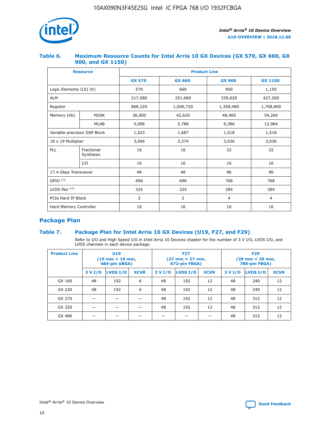

## **Table 6. Maximum Resource Counts for Intel Arria 10 GX Devices (GX 570, GX 660, GX 900, and GX 1150)**

|                              | <b>Resource</b>         | <b>Product Line</b> |                |                |                |  |  |  |
|------------------------------|-------------------------|---------------------|----------------|----------------|----------------|--|--|--|
|                              |                         | <b>GX 570</b>       | <b>GX 660</b>  | <b>GX 900</b>  | <b>GX 1150</b> |  |  |  |
| Logic Elements (LE) (K)      |                         | 570                 | 660            | 900            | 1,150          |  |  |  |
| <b>ALM</b>                   |                         | 217,080             | 251,680        | 339,620        | 427,200        |  |  |  |
| Register                     |                         | 868,320             | 1,006,720      | 1,358,480      | 1,708,800      |  |  |  |
| Memory (Kb)                  | <b>M20K</b>             | 36,000              | 42,620         | 48,460         | 54,260         |  |  |  |
|                              | <b>MLAB</b>             | 5,096               | 5,788          | 9,386          | 12,984         |  |  |  |
| Variable-precision DSP Block |                         | 1,523               | 1,687          | 1,518          | 1,518          |  |  |  |
| $18 \times 19$ Multiplier    |                         | 3,046               | 3,374          | 3,036          | 3,036          |  |  |  |
| PLL                          | Fractional<br>Synthesis | 16                  | 16             | 32             | 32             |  |  |  |
|                              | I/O                     | 16                  | 16             | 16             | 16             |  |  |  |
| 17.4 Gbps Transceiver        |                         | 48                  | 48<br>96       |                | 96             |  |  |  |
| GPIO <sup>(3)</sup>          |                         | 696                 | 696            | 768            | 768            |  |  |  |
| LVDS Pair $(4)$              |                         | 324                 | 324<br>384     |                | 384            |  |  |  |
| PCIe Hard IP Block           |                         | 2                   | $\overline{2}$ | $\overline{4}$ | 4              |  |  |  |
| Hard Memory Controller       |                         | 16                  | 16             | 16             | 16             |  |  |  |

## **Package Plan**

## **Table 7. Package Plan for Intel Arria 10 GX Devices (U19, F27, and F29)**

Refer to I/O and High Speed I/O in Intel Arria 10 Devices chapter for the number of 3 V I/O, LVDS I/O, and LVDS channels in each device package.

| <b>Product Line</b> | U <sub>19</sub><br>$(19 \text{ mm} \times 19 \text{ mm})$<br>484-pin UBGA) |          |             |         | <b>F27</b><br>(27 mm × 27 mm,<br>672-pin FBGA) |             | <b>F29</b><br>(29 mm × 29 mm,<br>780-pin FBGA) |          |             |  |
|---------------------|----------------------------------------------------------------------------|----------|-------------|---------|------------------------------------------------|-------------|------------------------------------------------|----------|-------------|--|
|                     | 3 V I/O                                                                    | LVDS I/O | <b>XCVR</b> | 3 V I/O | LVDS I/O                                       | <b>XCVR</b> | 3 V I/O                                        | LVDS I/O | <b>XCVR</b> |  |
| GX 160              | 48                                                                         | 192      | 6           | 48      | 192                                            | 12          | 48                                             | 240      | 12          |  |
| GX 220              | 48                                                                         | 192      | 6           | 48      | 192                                            | 12          | 48                                             | 240      | 12          |  |
| GX 270              |                                                                            |          |             | 48      | 192                                            | 12          | 48                                             | 312      | 12          |  |
| GX 320              |                                                                            |          |             | 48      | 192                                            | 12          | 48                                             | 312      | 12          |  |
| GX 480              |                                                                            |          |             |         |                                                |             | 48                                             | 312      | 12          |  |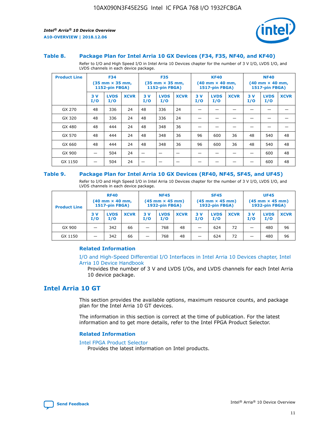

#### **Table 8. Package Plan for Intel Arria 10 GX Devices (F34, F35, NF40, and KF40)**

Refer to I/O and High Speed I/O in Intel Arria 10 Devices chapter for the number of 3 V I/O, LVDS I/O, and LVDS channels in each device package.

| <b>Product Line</b> | <b>F34</b><br>$(35 \text{ mm} \times 35 \text{ mm})$<br><b>1152-pin FBGA)</b> |                    | <b>F35</b><br>$(35 \text{ mm} \times 35 \text{ mm})$<br><b>1152-pin FBGA)</b> |           | <b>KF40</b><br>$(40$ mm $\times$ 40 mm,<br>1517-pin FBGA) |             |           | <b>NF40</b><br>$(40 \text{ mm} \times 40 \text{ mm})$<br>1517-pin FBGA) |             |           |                    |             |
|---------------------|-------------------------------------------------------------------------------|--------------------|-------------------------------------------------------------------------------|-----------|-----------------------------------------------------------|-------------|-----------|-------------------------------------------------------------------------|-------------|-----------|--------------------|-------------|
|                     | 3V<br>I/O                                                                     | <b>LVDS</b><br>I/O | <b>XCVR</b>                                                                   | 3V<br>I/O | <b>LVDS</b><br>I/O                                        | <b>XCVR</b> | 3V<br>I/O | <b>LVDS</b><br>I/O                                                      | <b>XCVR</b> | 3V<br>I/O | <b>LVDS</b><br>I/O | <b>XCVR</b> |
| GX 270              | 48                                                                            | 336                | 24                                                                            | 48        | 336                                                       | 24          |           |                                                                         |             |           |                    |             |
| GX 320              | 48                                                                            | 336                | 24                                                                            | 48        | 336                                                       | 24          |           |                                                                         |             |           |                    |             |
| GX 480              | 48                                                                            | 444                | 24                                                                            | 48        | 348                                                       | 36          |           |                                                                         |             |           |                    |             |
| GX 570              | 48                                                                            | 444                | 24                                                                            | 48        | 348                                                       | 36          | 96        | 600                                                                     | 36          | 48        | 540                | 48          |
| GX 660              | 48                                                                            | 444                | 24                                                                            | 48        | 348                                                       | 36          | 96        | 600                                                                     | 36          | 48        | 540                | 48          |
| GX 900              |                                                                               | 504                | 24                                                                            | –         |                                                           | -           |           |                                                                         |             |           | 600                | 48          |
| GX 1150             |                                                                               | 504                | 24                                                                            |           |                                                           |             |           |                                                                         |             |           | 600                | 48          |

#### **Table 9. Package Plan for Intel Arria 10 GX Devices (RF40, NF45, SF45, and UF45)**

Refer to I/O and High Speed I/O in Intel Arria 10 Devices chapter for the number of 3 V I/O, LVDS I/O, and LVDS channels in each device package.

| <b>Product Line</b> | <b>RF40</b><br>$(40$ mm $\times$ 40 mm,<br>1517-pin FBGA) |                    | <b>NF45</b><br>$(45 \text{ mm} \times 45 \text{ mm})$<br><b>1932-pin FBGA)</b> |            |                    | <b>SF45</b><br>$(45 \text{ mm} \times 45 \text{ mm})$<br><b>1932-pin FBGA)</b> |            |                    | <b>UF45</b><br>$(45 \text{ mm} \times 45 \text{ mm})$<br><b>1932-pin FBGA)</b> |           |                    |             |
|---------------------|-----------------------------------------------------------|--------------------|--------------------------------------------------------------------------------|------------|--------------------|--------------------------------------------------------------------------------|------------|--------------------|--------------------------------------------------------------------------------|-----------|--------------------|-------------|
|                     | 3V<br>I/O                                                 | <b>LVDS</b><br>I/O | <b>XCVR</b>                                                                    | 3 V<br>I/O | <b>LVDS</b><br>I/O | <b>XCVR</b>                                                                    | 3 V<br>I/O | <b>LVDS</b><br>I/O | <b>XCVR</b>                                                                    | 3V<br>I/O | <b>LVDS</b><br>I/O | <b>XCVR</b> |
| GX 900              |                                                           | 342                | 66                                                                             | _          | 768                | 48                                                                             |            | 624                | 72                                                                             |           | 480                | 96          |
| GX 1150             |                                                           | 342                | 66                                                                             | _          | 768                | 48                                                                             |            | 624                | 72                                                                             |           | 480                | 96          |

#### **Related Information**

[I/O and High-Speed Differential I/O Interfaces in Intel Arria 10 Devices chapter, Intel](https://www.intel.com/content/www/us/en/programmable/documentation/sam1403482614086.html#sam1403482030321) [Arria 10 Device Handbook](https://www.intel.com/content/www/us/en/programmable/documentation/sam1403482614086.html#sam1403482030321)

Provides the number of 3 V and LVDS I/Os, and LVDS channels for each Intel Arria 10 device package.

## **Intel Arria 10 GT**

This section provides the available options, maximum resource counts, and package plan for the Intel Arria 10 GT devices.

The information in this section is correct at the time of publication. For the latest information and to get more details, refer to the Intel FPGA Product Selector.

#### **Related Information**

#### [Intel FPGA Product Selector](http://www.altera.com/products/selector/psg-selector.html)

Provides the latest information on Intel products.

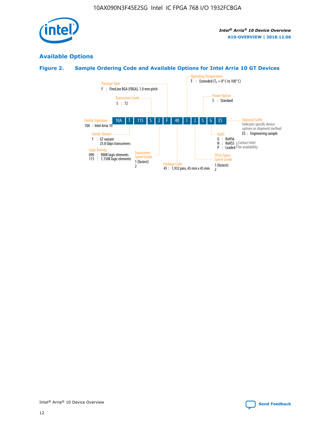

## **Available Options**

## **Figure 2. Sample Ordering Code and Available Options for Intel Arria 10 GT Devices**

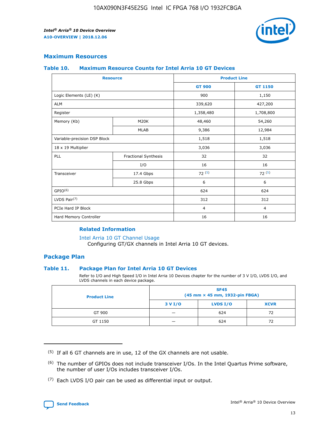

## **Maximum Resources**

#### **Table 10. Maximum Resource Counts for Intel Arria 10 GT Devices**

| <b>Resource</b>              |                      | <b>Product Line</b> |                |  |
|------------------------------|----------------------|---------------------|----------------|--|
|                              |                      | <b>GT 900</b>       | <b>GT 1150</b> |  |
| Logic Elements (LE) (K)      |                      | 900                 | 1,150          |  |
| <b>ALM</b>                   |                      | 339,620             | 427,200        |  |
| Register                     |                      | 1,358,480           | 1,708,800      |  |
| Memory (Kb)                  | M20K                 | 48,460              | 54,260         |  |
|                              | <b>MLAB</b>          | 9,386               | 12,984         |  |
| Variable-precision DSP Block |                      | 1,518               | 1,518          |  |
| 18 x 19 Multiplier           |                      | 3,036               | 3,036          |  |
| PLL                          | Fractional Synthesis | 32                  | 32             |  |
|                              | I/O                  | 16                  | 16             |  |
| Transceiver                  | 17.4 Gbps            | 72(5)               | 72(5)          |  |
|                              | 25.8 Gbps            | 6                   | 6              |  |
| GPIO <sup>(6)</sup>          |                      | 624                 | 624            |  |
| LVDS Pair $(7)$              |                      | 312                 | 312            |  |
| PCIe Hard IP Block           |                      | $\overline{4}$      | $\overline{4}$ |  |
| Hard Memory Controller       |                      | 16                  | 16             |  |

#### **Related Information**

#### [Intel Arria 10 GT Channel Usage](https://www.intel.com/content/www/us/en/programmable/documentation/nik1398707230472.html#nik1398707008178)

Configuring GT/GX channels in Intel Arria 10 GT devices.

## **Package Plan**

#### **Table 11. Package Plan for Intel Arria 10 GT Devices**

Refer to I/O and High Speed I/O in Intel Arria 10 Devices chapter for the number of 3 V I/O, LVDS I/O, and LVDS channels in each device package.

| <b>Product Line</b> | <b>SF45</b><br>(45 mm × 45 mm, 1932-pin FBGA) |                 |             |  |  |  |
|---------------------|-----------------------------------------------|-----------------|-------------|--|--|--|
|                     | 3 V I/O                                       | <b>LVDS I/O</b> | <b>XCVR</b> |  |  |  |
| GT 900              |                                               | 624             | 72          |  |  |  |
| GT 1150             |                                               | 624             | 72          |  |  |  |

<sup>(7)</sup> Each LVDS I/O pair can be used as differential input or output.



 $(5)$  If all 6 GT channels are in use, 12 of the GX channels are not usable.

<sup>(6)</sup> The number of GPIOs does not include transceiver I/Os. In the Intel Quartus Prime software, the number of user I/Os includes transceiver I/Os.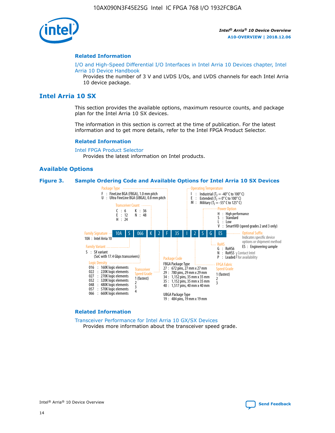

#### **Related Information**

[I/O and High-Speed Differential I/O Interfaces in Intel Arria 10 Devices chapter, Intel](https://www.intel.com/content/www/us/en/programmable/documentation/sam1403482614086.html#sam1403482030321) [Arria 10 Device Handbook](https://www.intel.com/content/www/us/en/programmable/documentation/sam1403482614086.html#sam1403482030321)

Provides the number of 3 V and LVDS I/Os, and LVDS channels for each Intel Arria 10 device package.

## **Intel Arria 10 SX**

This section provides the available options, maximum resource counts, and package plan for the Intel Arria 10 SX devices.

The information in this section is correct at the time of publication. For the latest information and to get more details, refer to the Intel FPGA Product Selector.

#### **Related Information**

[Intel FPGA Product Selector](http://www.altera.com/products/selector/psg-selector.html) Provides the latest information on Intel products.

#### **Available Options**

#### **Figure 3. Sample Ordering Code and Available Options for Intel Arria 10 SX Devices**



#### **Related Information**

[Transceiver Performance for Intel Arria 10 GX/SX Devices](https://www.intel.com/content/www/us/en/programmable/documentation/mcn1413182292568.html#mcn1413213965502) Provides more information about the transceiver speed grade.

Intel® Arria® 10 Device Overview **[Send Feedback](mailto:FPGAtechdocfeedback@intel.com?subject=Feedback%20on%20Intel%20Arria%2010%20Device%20Overview%20(A10-OVERVIEW%202018.12.06)&body=We%20appreciate%20your%20feedback.%20In%20your%20comments,%20also%20specify%20the%20page%20number%20or%20paragraph.%20Thank%20you.)**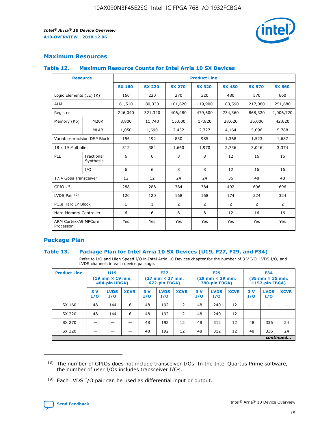

## **Maximum Resources**

#### **Table 12. Maximum Resource Counts for Intel Arria 10 SX Devices**

| <b>Resource</b>                   |                         | <b>Product Line</b> |               |                |                |                |                |                |  |  |  |
|-----------------------------------|-------------------------|---------------------|---------------|----------------|----------------|----------------|----------------|----------------|--|--|--|
|                                   |                         | <b>SX 160</b>       | <b>SX 220</b> | <b>SX 270</b>  | <b>SX 320</b>  | <b>SX 480</b>  | <b>SX 570</b>  | <b>SX 660</b>  |  |  |  |
| Logic Elements (LE) (K)           |                         | 160                 | 220           | 270            | 320            | 480            | 570            | 660            |  |  |  |
| <b>ALM</b>                        |                         | 61,510              | 80,330        | 101,620        | 119,900        | 183,590        | 217,080        | 251,680        |  |  |  |
| Register                          |                         | 246,040             | 321,320       | 406,480        | 479,600        | 734,360        | 868,320        | 1,006,720      |  |  |  |
| Memory (Kb)                       | <b>M20K</b>             | 8,800               | 11,740        | 15,000         | 17,820         | 28,620         | 36,000         | 42,620         |  |  |  |
|                                   | <b>MLAB</b>             | 1,050               | 1,690         | 2,452          | 2,727          | 4,164          | 5,096          | 5,788          |  |  |  |
| Variable-precision DSP Block      |                         | 156                 | 192           | 830            | 985            | 1,368          | 1,523          | 1,687          |  |  |  |
| 18 x 19 Multiplier                |                         | 312                 | 384           | 1,660          | 1,970          | 2,736          | 3,046          | 3,374          |  |  |  |
| PLL                               | Fractional<br>Synthesis | 6                   | 6             | 8              | 8              | 12             | 16             | 16             |  |  |  |
|                                   | I/O                     | 6                   | 6             | 8              | 8              | 12             | 16             | 16             |  |  |  |
| 17.4 Gbps Transceiver             |                         | 12                  | 12            | 24             | 24             | 36             | 48             | 48             |  |  |  |
| GPIO <sup>(8)</sup>               |                         | 288                 | 288           | 384            | 384            | 492            | 696            | 696            |  |  |  |
| LVDS Pair $(9)$                   |                         | 120                 | 120           | 168            | 168            | 174            | 324            | 324            |  |  |  |
| PCIe Hard IP Block                |                         | $\mathbf{1}$        | $\mathbf{1}$  | $\overline{2}$ | $\overline{2}$ | $\overline{2}$ | $\overline{2}$ | $\overline{2}$ |  |  |  |
| Hard Memory Controller            |                         | 6                   | 6             | 8              | 8              | 12             | 16             | 16             |  |  |  |
| ARM Cortex-A9 MPCore<br>Processor |                         | Yes                 | Yes           | Yes            | Yes            | Yes            | Yes            | <b>Yes</b>     |  |  |  |

## **Package Plan**

#### **Table 13. Package Plan for Intel Arria 10 SX Devices (U19, F27, F29, and F34)**

Refer to I/O and High Speed I/O in Intel Arria 10 Devices chapter for the number of 3 V I/O, LVDS I/O, and LVDS channels in each device package.

| <b>Product Line</b> | U <sub>19</sub><br>$(19 \text{ mm} \times 19 \text{ mm})$<br>484-pin UBGA) |                    | <b>F27</b><br>$(27 \text{ mm} \times 27 \text{ mm})$<br>672-pin FBGA) |           | <b>F29</b><br>$(29 \text{ mm} \times 29 \text{ mm})$<br>780-pin FBGA) |             |            | <b>F34</b><br>$(35 \text{ mm} \times 35 \text{ mm})$<br><b>1152-pin FBGA)</b> |             |           |                    |             |
|---------------------|----------------------------------------------------------------------------|--------------------|-----------------------------------------------------------------------|-----------|-----------------------------------------------------------------------|-------------|------------|-------------------------------------------------------------------------------|-------------|-----------|--------------------|-------------|
|                     | 3V<br>I/O                                                                  | <b>LVDS</b><br>I/O | <b>XCVR</b>                                                           | 3V<br>I/O | <b>LVDS</b><br>I/O                                                    | <b>XCVR</b> | 3 V<br>I/O | <b>LVDS</b><br>I/O                                                            | <b>XCVR</b> | 3V<br>I/O | <b>LVDS</b><br>I/O | <b>XCVR</b> |
| SX 160              | 48                                                                         | 144                | 6                                                                     | 48        | 192                                                                   | 12          | 48         | 240                                                                           | 12          | –         |                    |             |
| SX 220              | 48                                                                         | 144                | 6                                                                     | 48        | 192                                                                   | 12          | 48         | 240                                                                           | 12          |           |                    |             |
| SX 270              |                                                                            |                    |                                                                       | 48        | 192                                                                   | 12          | 48         | 312                                                                           | 12          | 48        | 336                | 24          |
| SX 320              |                                                                            |                    |                                                                       | 48        | 192                                                                   | 12          | 48         | 312                                                                           | 12          | 48        | 336                | 24          |
|                     | continued                                                                  |                    |                                                                       |           |                                                                       |             |            |                                                                               |             |           |                    |             |

 $(8)$  The number of GPIOs does not include transceiver I/Os. In the Intel Quartus Prime software, the number of user I/Os includes transceiver I/Os.

 $(9)$  Each LVDS I/O pair can be used as differential input or output.

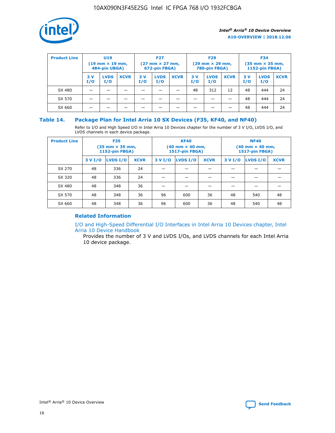

| <b>Product Line</b> | U <sub>19</sub><br>$(19 \text{ mm} \times 19 \text{ mm})$<br>484-pin UBGA) |                    | <b>F27</b><br>$(27 \text{ mm} \times 27 \text{ mm})$<br>672-pin FBGA) |            | <b>F29</b><br>$(29 \text{ mm} \times 29 \text{ mm})$<br>780-pin FBGA) |             |           | <b>F34</b><br>$(35 \text{ mm} \times 35 \text{ mm})$<br><b>1152-pin FBGA)</b> |             |           |                    |             |
|---------------------|----------------------------------------------------------------------------|--------------------|-----------------------------------------------------------------------|------------|-----------------------------------------------------------------------|-------------|-----------|-------------------------------------------------------------------------------|-------------|-----------|--------------------|-------------|
|                     | 3 V<br>I/O                                                                 | <b>LVDS</b><br>I/O | <b>XCVR</b>                                                           | 3 V<br>I/O | <b>LVDS</b><br>I/O                                                    | <b>XCVR</b> | 3V<br>I/O | <b>LVDS</b><br>I/O                                                            | <b>XCVR</b> | 3V<br>I/O | <b>LVDS</b><br>I/O | <b>XCVR</b> |
| SX 480              |                                                                            |                    |                                                                       |            |                                                                       |             | 48        | 312                                                                           | 12          | 48        | 444                | 24          |
| SX 570              |                                                                            |                    |                                                                       |            |                                                                       |             |           |                                                                               |             | 48        | 444                | 24          |
| SX 660              |                                                                            |                    |                                                                       |            |                                                                       |             |           |                                                                               |             | 48        | 444                | 24          |

## **Table 14. Package Plan for Intel Arria 10 SX Devices (F35, KF40, and NF40)**

Refer to I/O and High Speed I/O in Intel Arria 10 Devices chapter for the number of 3 V I/O, LVDS I/O, and LVDS channels in each device package.

| <b>Product Line</b> | <b>F35</b><br>$(35 \text{ mm} \times 35 \text{ mm})$<br><b>1152-pin FBGA)</b> |          |             |                                           | <b>KF40</b><br>(40 mm × 40 mm,<br>1517-pin FBGA) |    | <b>NF40</b><br>$(40 \text{ mm} \times 40 \text{ mm})$<br>1517-pin FBGA) |          |             |  |
|---------------------|-------------------------------------------------------------------------------|----------|-------------|-------------------------------------------|--------------------------------------------------|----|-------------------------------------------------------------------------|----------|-------------|--|
|                     | 3 V I/O                                                                       | LVDS I/O | <b>XCVR</b> | <b>LVDS I/O</b><br><b>XCVR</b><br>3 V I/O |                                                  |    | 3 V I/O                                                                 | LVDS I/O | <b>XCVR</b> |  |
| SX 270              | 48                                                                            | 336      | 24          |                                           |                                                  |    |                                                                         |          |             |  |
| SX 320              | 48                                                                            | 336      | 24          |                                           |                                                  |    |                                                                         |          |             |  |
| SX 480              | 48                                                                            | 348      | 36          |                                           |                                                  |    |                                                                         |          |             |  |
| SX 570              | 48                                                                            | 348      | 36          | 96<br>36<br>600                           |                                                  | 48 | 540                                                                     | 48       |             |  |
| SX 660              | 48                                                                            | 348      | 36          | 96                                        | 600                                              | 36 | 48                                                                      | 540      | 48          |  |

## **Related Information**

[I/O and High-Speed Differential I/O Interfaces in Intel Arria 10 Devices chapter, Intel](https://www.intel.com/content/www/us/en/programmable/documentation/sam1403482614086.html#sam1403482030321) [Arria 10 Device Handbook](https://www.intel.com/content/www/us/en/programmable/documentation/sam1403482614086.html#sam1403482030321)

Provides the number of 3 V and LVDS I/Os, and LVDS channels for each Intel Arria 10 device package.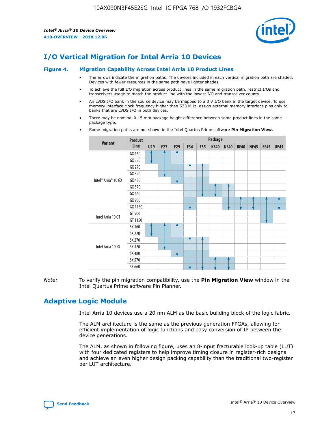

# **I/O Vertical Migration for Intel Arria 10 Devices**

#### **Figure 4. Migration Capability Across Intel Arria 10 Product Lines**

- The arrows indicate the migration paths. The devices included in each vertical migration path are shaded. Devices with fewer resources in the same path have lighter shades.
- To achieve the full I/O migration across product lines in the same migration path, restrict I/Os and transceivers usage to match the product line with the lowest I/O and transceiver counts.
- An LVDS I/O bank in the source device may be mapped to a 3 V I/O bank in the target device. To use memory interface clock frequency higher than 533 MHz, assign external memory interface pins only to banks that are LVDS I/O in both devices.
- There may be nominal 0.15 mm package height difference between some product lines in the same package type.
	- **Variant Product Line Package U19 F27 F29 F34 F35 KF40 NF40 RF40 NF45 SF45 UF45** Intel® Arria® 10 GX GX 160 GX 220 GX 270 GX 320 GX 480 GX 570 GX 660 GX 900 GX 1150 Intel Arria 10 GT GT 900 GT 1150 Intel Arria 10 SX SX 160 SX 220 SX 270 SX 320 SX 480 SX 570 SX 660
- Some migration paths are not shown in the Intel Quartus Prime software **Pin Migration View**.

*Note:* To verify the pin migration compatibility, use the **Pin Migration View** window in the Intel Quartus Prime software Pin Planner.

# **Adaptive Logic Module**

Intel Arria 10 devices use a 20 nm ALM as the basic building block of the logic fabric.

The ALM architecture is the same as the previous generation FPGAs, allowing for efficient implementation of logic functions and easy conversion of IP between the device generations.

The ALM, as shown in following figure, uses an 8-input fracturable look-up table (LUT) with four dedicated registers to help improve timing closure in register-rich designs and achieve an even higher design packing capability than the traditional two-register per LUT architecture.

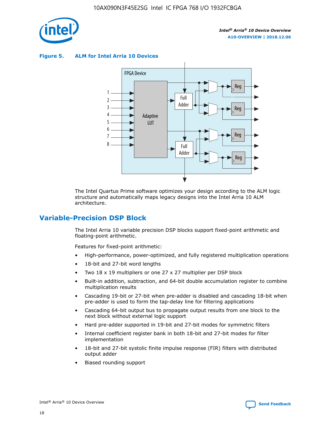

**Figure 5. ALM for Intel Arria 10 Devices**



The Intel Quartus Prime software optimizes your design according to the ALM logic structure and automatically maps legacy designs into the Intel Arria 10 ALM architecture.

## **Variable-Precision DSP Block**

The Intel Arria 10 variable precision DSP blocks support fixed-point arithmetic and floating-point arithmetic.

Features for fixed-point arithmetic:

- High-performance, power-optimized, and fully registered multiplication operations
- 18-bit and 27-bit word lengths
- Two 18 x 19 multipliers or one 27 x 27 multiplier per DSP block
- Built-in addition, subtraction, and 64-bit double accumulation register to combine multiplication results
- Cascading 19-bit or 27-bit when pre-adder is disabled and cascading 18-bit when pre-adder is used to form the tap-delay line for filtering applications
- Cascading 64-bit output bus to propagate output results from one block to the next block without external logic support
- Hard pre-adder supported in 19-bit and 27-bit modes for symmetric filters
- Internal coefficient register bank in both 18-bit and 27-bit modes for filter implementation
- 18-bit and 27-bit systolic finite impulse response (FIR) filters with distributed output adder
- Biased rounding support

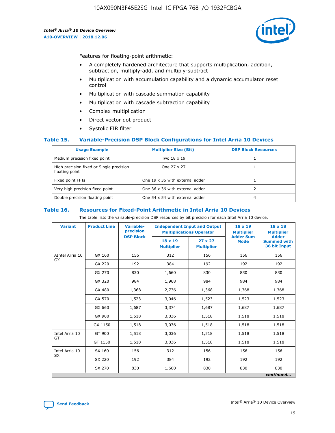

Features for floating-point arithmetic:

- A completely hardened architecture that supports multiplication, addition, subtraction, multiply-add, and multiply-subtract
- Multiplication with accumulation capability and a dynamic accumulator reset control
- Multiplication with cascade summation capability
- Multiplication with cascade subtraction capability
- Complex multiplication
- Direct vector dot product
- Systolic FIR filter

#### **Table 15. Variable-Precision DSP Block Configurations for Intel Arria 10 Devices**

| <b>Usage Example</b>                                       | <b>Multiplier Size (Bit)</b>    | <b>DSP Block Resources</b> |
|------------------------------------------------------------|---------------------------------|----------------------------|
| Medium precision fixed point                               | Two 18 x 19                     |                            |
| High precision fixed or Single precision<br>floating point | One 27 x 27                     |                            |
| Fixed point FFTs                                           | One 19 x 36 with external adder |                            |
| Very high precision fixed point                            | One 36 x 36 with external adder |                            |
| Double precision floating point                            | One 54 x 54 with external adder | 4                          |

#### **Table 16. Resources for Fixed-Point Arithmetic in Intel Arria 10 Devices**

The table lists the variable-precision DSP resources by bit precision for each Intel Arria 10 device.

| <b>Variant</b>  | <b>Product Line</b> | Variable-<br>precision<br><b>DSP Block</b> | <b>Independent Input and Output</b><br><b>Multiplications Operator</b> |                                     | 18 x 19<br><b>Multiplier</b><br><b>Adder Sum</b> | $18 \times 18$<br><b>Multiplier</b><br><b>Adder</b> |
|-----------------|---------------------|--------------------------------------------|------------------------------------------------------------------------|-------------------------------------|--------------------------------------------------|-----------------------------------------------------|
|                 |                     |                                            | 18 x 19<br><b>Multiplier</b>                                           | $27 \times 27$<br><b>Multiplier</b> | <b>Mode</b>                                      | <b>Summed with</b><br>36 bit Input                  |
| AIntel Arria 10 | GX 160              | 156                                        | 312                                                                    | 156                                 | 156                                              | 156                                                 |
| GX              | GX 220              | 192                                        | 384                                                                    | 192                                 | 192                                              | 192                                                 |
|                 | GX 270              | 830                                        | 1,660                                                                  | 830                                 | 830                                              | 830                                                 |
|                 | GX 320              | 984                                        | 1,968                                                                  | 984                                 | 984                                              | 984                                                 |
|                 | GX 480              | 1,368                                      | 2,736                                                                  | 1,368                               | 1,368                                            | 1,368                                               |
|                 | GX 570              | 1,523                                      | 3,046                                                                  | 1,523                               | 1,523                                            | 1,523                                               |
|                 | GX 660              | 1,687                                      | 3,374                                                                  | 1,687                               | 1,687                                            | 1,687                                               |
|                 | GX 900              | 1,518                                      | 3,036                                                                  | 1,518                               | 1,518                                            | 1,518                                               |
|                 | GX 1150             | 1,518                                      | 3,036                                                                  | 1,518                               | 1,518                                            | 1,518                                               |
| Intel Arria 10  | GT 900              | 1,518                                      | 3,036                                                                  | 1,518                               | 1,518                                            | 1,518                                               |
| GT              | GT 1150             | 1,518                                      | 3,036                                                                  | 1,518                               | 1,518                                            | 1,518                                               |
| Intel Arria 10  | SX 160              | 156                                        | 312                                                                    | 156                                 | 156                                              | 156                                                 |
| <b>SX</b>       | SX 220              | 192                                        | 384                                                                    | 192                                 | 192                                              | 192                                                 |
|                 | SX 270              | 830                                        | 1,660                                                                  | 830                                 | 830                                              | 830                                                 |
|                 |                     |                                            |                                                                        |                                     |                                                  | continued                                           |

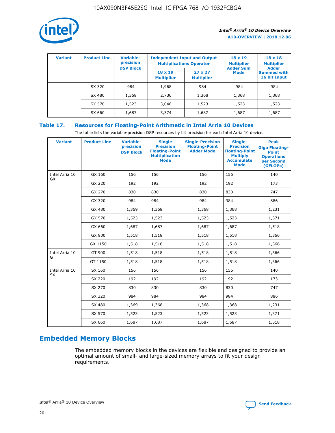

| <b>Variant</b> | <b>Product Line</b> | Variable-<br>precision | <b>Independent Input and Output</b><br><b>Multiplications Operator</b> |                                     | $18 \times 19$<br><b>Multiplier</b> | $18 \times 18$<br><b>Multiplier</b><br><b>Adder</b> |  |
|----------------|---------------------|------------------------|------------------------------------------------------------------------|-------------------------------------|-------------------------------------|-----------------------------------------------------|--|
|                |                     | <b>DSP Block</b>       | $18 \times 19$<br><b>Multiplier</b>                                    | $27 \times 27$<br><b>Multiplier</b> | <b>Adder Sum</b><br><b>Mode</b>     | <b>Summed with</b><br>36 bit Input                  |  |
|                | SX 320              | 984                    | 1,968                                                                  | 984                                 | 984                                 | 984                                                 |  |
|                | SX 480              | 1,368                  | 2,736                                                                  | 1,368                               | 1,368                               | 1,368                                               |  |
|                | SX 570              | 1,523                  | 3,046                                                                  | 1,523                               | 1,523                               | 1,523                                               |  |
|                | SX 660              | 1,687                  | 3,374                                                                  | 1,687                               | 1,687                               | 1,687                                               |  |

## **Table 17. Resources for Floating-Point Arithmetic in Intel Arria 10 Devices**

The table lists the variable-precision DSP resources by bit precision for each Intel Arria 10 device.

| <b>Variant</b> | <b>Product Line</b> | <b>Variable-</b><br>precision<br><b>DSP Block</b> | <b>Single</b><br><b>Precision</b><br><b>Floating-Point</b><br><b>Multiplication</b><br><b>Mode</b> | <b>Single-Precision</b><br><b>Floating-Point</b><br><b>Adder Mode</b> | Single-<br><b>Precision</b><br><b>Floating-Point</b><br><b>Multiply</b><br><b>Accumulate</b><br><b>Mode</b> | <b>Peak</b><br><b>Giga Floating-</b><br><b>Point</b><br><b>Operations</b><br>per Second<br>(GFLOPs) |
|----------------|---------------------|---------------------------------------------------|----------------------------------------------------------------------------------------------------|-----------------------------------------------------------------------|-------------------------------------------------------------------------------------------------------------|-----------------------------------------------------------------------------------------------------|
| Intel Arria 10 | GX 160              | 156                                               | 156                                                                                                | 156                                                                   | 156                                                                                                         | 140                                                                                                 |
| GX             | GX 220              | 192                                               | 192                                                                                                | 192                                                                   | 192                                                                                                         | 173                                                                                                 |
|                | GX 270              | 830                                               | 830                                                                                                | 830                                                                   | 830                                                                                                         | 747                                                                                                 |
|                | GX 320              | 984                                               | 984                                                                                                | 984                                                                   | 984                                                                                                         | 886                                                                                                 |
|                | GX 480              | 1,369                                             | 1,368                                                                                              | 1,368                                                                 | 1,368                                                                                                       | 1,231                                                                                               |
|                | GX 570              | 1,523                                             | 1,523                                                                                              | 1,523                                                                 | 1,523                                                                                                       | 1,371                                                                                               |
|                | GX 660              | 1,687                                             | 1,687                                                                                              | 1,687                                                                 | 1,687                                                                                                       | 1,518                                                                                               |
|                | GX 900              | 1,518                                             | 1,518                                                                                              | 1,518                                                                 | 1,518                                                                                                       | 1,366                                                                                               |
|                | GX 1150             | 1,518                                             | 1,518                                                                                              | 1,518                                                                 | 1,518                                                                                                       | 1,366                                                                                               |
| Intel Arria 10 | GT 900              | 1,518                                             | 1,518                                                                                              | 1,518                                                                 | 1,518                                                                                                       | 1,366                                                                                               |
| GT             | GT 1150             | 1,518                                             | 1,518                                                                                              | 1,518                                                                 | 1,518                                                                                                       | 1,366                                                                                               |
| Intel Arria 10 | SX 160              | 156                                               | 156                                                                                                | 156                                                                   | 156                                                                                                         | 140                                                                                                 |
| <b>SX</b>      | SX 220              | 192                                               | 192                                                                                                | 192                                                                   | 192                                                                                                         | 173                                                                                                 |
|                | SX 270              | 830                                               | 830                                                                                                | 830                                                                   | 830                                                                                                         | 747                                                                                                 |
|                | SX 320              | 984                                               | 984                                                                                                | 984                                                                   | 984                                                                                                         | 886                                                                                                 |
|                | SX 480              | 1,369                                             | 1,368                                                                                              | 1,368                                                                 | 1,368                                                                                                       | 1,231                                                                                               |
|                | SX 570              | 1,523                                             | 1,523                                                                                              | 1,523                                                                 | 1,523                                                                                                       | 1,371                                                                                               |
|                | SX 660              | 1,687                                             | 1,687                                                                                              | 1,687                                                                 | 1,687                                                                                                       | 1,518                                                                                               |

# **Embedded Memory Blocks**

The embedded memory blocks in the devices are flexible and designed to provide an optimal amount of small- and large-sized memory arrays to fit your design requirements.

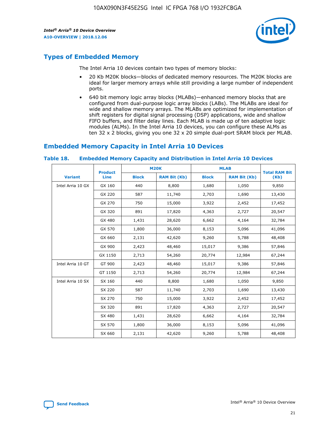

## **Types of Embedded Memory**

The Intel Arria 10 devices contain two types of memory blocks:

- 20 Kb M20K blocks—blocks of dedicated memory resources. The M20K blocks are ideal for larger memory arrays while still providing a large number of independent ports.
- 640 bit memory logic array blocks (MLABs)—enhanced memory blocks that are configured from dual-purpose logic array blocks (LABs). The MLABs are ideal for wide and shallow memory arrays. The MLABs are optimized for implementation of shift registers for digital signal processing (DSP) applications, wide and shallow FIFO buffers, and filter delay lines. Each MLAB is made up of ten adaptive logic modules (ALMs). In the Intel Arria 10 devices, you can configure these ALMs as ten 32 x 2 blocks, giving you one 32 x 20 simple dual-port SRAM block per MLAB.

## **Embedded Memory Capacity in Intel Arria 10 Devices**

|                   | <b>Product</b> |              | <b>M20K</b>         | <b>MLAB</b>  |                     | <b>Total RAM Bit</b> |
|-------------------|----------------|--------------|---------------------|--------------|---------------------|----------------------|
| <b>Variant</b>    | <b>Line</b>    | <b>Block</b> | <b>RAM Bit (Kb)</b> | <b>Block</b> | <b>RAM Bit (Kb)</b> | (Kb)                 |
| Intel Arria 10 GX | GX 160         | 440          | 8,800               | 1,680        | 1,050               | 9,850                |
|                   | GX 220         | 587          | 11,740              | 2,703        | 1,690               | 13,430               |
|                   | GX 270         | 750          | 15,000              | 3,922        | 2,452               | 17,452               |
|                   | GX 320         | 891          | 17,820              | 4,363        | 2,727               | 20,547               |
|                   | GX 480         | 1,431        | 28,620              | 6,662        | 4,164               | 32,784               |
|                   | GX 570         | 1,800        | 36,000              | 8,153        | 5,096               | 41,096               |
|                   | GX 660         | 2,131        | 42,620              | 9,260        | 5,788               | 48,408               |
|                   | GX 900         | 2,423        | 48,460              | 15,017       | 9,386               | 57,846               |
|                   | GX 1150        | 2,713        | 54,260              | 20,774       | 12,984              | 67,244               |
| Intel Arria 10 GT | GT 900         | 2,423        | 48,460              | 15,017       | 9,386               | 57,846               |
|                   | GT 1150        | 2,713        | 54,260              | 20,774       | 12,984              | 67,244               |
| Intel Arria 10 SX | SX 160         | 440          | 8,800               | 1,680        | 1,050               | 9,850                |
|                   | SX 220         | 587          | 11,740              | 2,703        | 1,690               | 13,430               |
|                   | SX 270         | 750          | 15,000              | 3,922        | 2,452               | 17,452               |
|                   | SX 320         | 891          | 17,820              | 4,363        | 2,727               | 20,547               |
|                   | SX 480         | 1,431        | 28,620              | 6,662        | 4,164               | 32,784               |
|                   | SX 570         | 1,800        | 36,000              | 8,153        | 5,096               | 41,096               |
|                   | SX 660         | 2,131        | 42,620              | 9,260        | 5,788               | 48,408               |

#### **Table 18. Embedded Memory Capacity and Distribution in Intel Arria 10 Devices**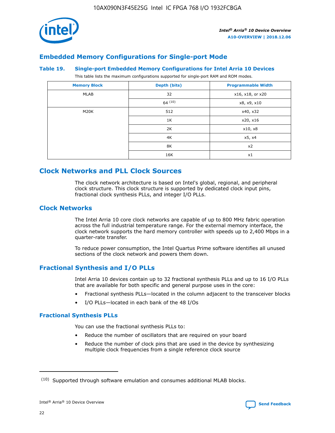

## **Embedded Memory Configurations for Single-port Mode**

#### **Table 19. Single-port Embedded Memory Configurations for Intel Arria 10 Devices**

This table lists the maximum configurations supported for single-port RAM and ROM modes.

| <b>Memory Block</b> | Depth (bits) | <b>Programmable Width</b> |
|---------------------|--------------|---------------------------|
| MLAB                | 32           | x16, x18, or x20          |
|                     | 64(10)       | x8, x9, x10               |
| M20K                | 512          | x40, x32                  |
|                     | 1K           | x20, x16                  |
|                     | 2K           | x10, x8                   |
|                     | 4K           | x5, x4                    |
|                     | 8K           | x2                        |
|                     | 16K          | x1                        |

# **Clock Networks and PLL Clock Sources**

The clock network architecture is based on Intel's global, regional, and peripheral clock structure. This clock structure is supported by dedicated clock input pins, fractional clock synthesis PLLs, and integer I/O PLLs.

## **Clock Networks**

The Intel Arria 10 core clock networks are capable of up to 800 MHz fabric operation across the full industrial temperature range. For the external memory interface, the clock network supports the hard memory controller with speeds up to 2,400 Mbps in a quarter-rate transfer.

To reduce power consumption, the Intel Quartus Prime software identifies all unused sections of the clock network and powers them down.

## **Fractional Synthesis and I/O PLLs**

Intel Arria 10 devices contain up to 32 fractional synthesis PLLs and up to 16 I/O PLLs that are available for both specific and general purpose uses in the core:

- Fractional synthesis PLLs—located in the column adjacent to the transceiver blocks
- I/O PLLs—located in each bank of the 48 I/Os

## **Fractional Synthesis PLLs**

You can use the fractional synthesis PLLs to:

- Reduce the number of oscillators that are required on your board
- Reduce the number of clock pins that are used in the device by synthesizing multiple clock frequencies from a single reference clock source

<sup>(10)</sup> Supported through software emulation and consumes additional MLAB blocks.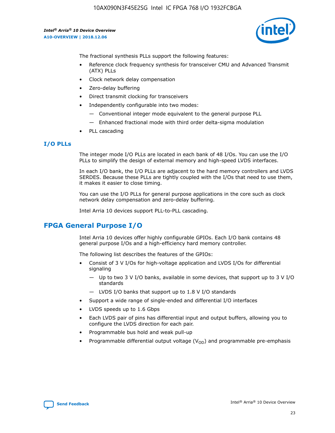

The fractional synthesis PLLs support the following features:

- Reference clock frequency synthesis for transceiver CMU and Advanced Transmit (ATX) PLLs
- Clock network delay compensation
- Zero-delay buffering
- Direct transmit clocking for transceivers
- Independently configurable into two modes:
	- Conventional integer mode equivalent to the general purpose PLL
	- Enhanced fractional mode with third order delta-sigma modulation
- PLL cascading

#### **I/O PLLs**

The integer mode I/O PLLs are located in each bank of 48 I/Os. You can use the I/O PLLs to simplify the design of external memory and high-speed LVDS interfaces.

In each I/O bank, the I/O PLLs are adjacent to the hard memory controllers and LVDS SERDES. Because these PLLs are tightly coupled with the I/Os that need to use them, it makes it easier to close timing.

You can use the I/O PLLs for general purpose applications in the core such as clock network delay compensation and zero-delay buffering.

Intel Arria 10 devices support PLL-to-PLL cascading.

## **FPGA General Purpose I/O**

Intel Arria 10 devices offer highly configurable GPIOs. Each I/O bank contains 48 general purpose I/Os and a high-efficiency hard memory controller.

The following list describes the features of the GPIOs:

- Consist of 3 V I/Os for high-voltage application and LVDS I/Os for differential signaling
	- Up to two 3 V I/O banks, available in some devices, that support up to 3 V I/O standards
	- LVDS I/O banks that support up to 1.8 V I/O standards
- Support a wide range of single-ended and differential I/O interfaces
- LVDS speeds up to 1.6 Gbps
- Each LVDS pair of pins has differential input and output buffers, allowing you to configure the LVDS direction for each pair.
- Programmable bus hold and weak pull-up
- Programmable differential output voltage  $(V_{OD})$  and programmable pre-emphasis

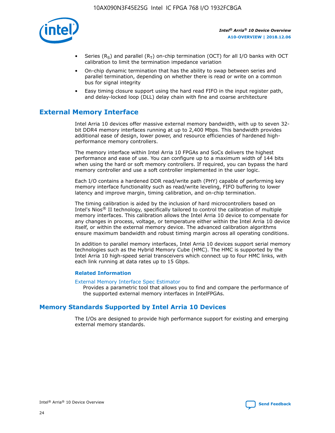

- Series (R<sub>S</sub>) and parallel (R<sub>T</sub>) on-chip termination (OCT) for all I/O banks with OCT calibration to limit the termination impedance variation
- On-chip dynamic termination that has the ability to swap between series and parallel termination, depending on whether there is read or write on a common bus for signal integrity
- Easy timing closure support using the hard read FIFO in the input register path, and delay-locked loop (DLL) delay chain with fine and coarse architecture

# **External Memory Interface**

Intel Arria 10 devices offer massive external memory bandwidth, with up to seven 32 bit DDR4 memory interfaces running at up to 2,400 Mbps. This bandwidth provides additional ease of design, lower power, and resource efficiencies of hardened highperformance memory controllers.

The memory interface within Intel Arria 10 FPGAs and SoCs delivers the highest performance and ease of use. You can configure up to a maximum width of 144 bits when using the hard or soft memory controllers. If required, you can bypass the hard memory controller and use a soft controller implemented in the user logic.

Each I/O contains a hardened DDR read/write path (PHY) capable of performing key memory interface functionality such as read/write leveling, FIFO buffering to lower latency and improve margin, timing calibration, and on-chip termination.

The timing calibration is aided by the inclusion of hard microcontrollers based on Intel's Nios® II technology, specifically tailored to control the calibration of multiple memory interfaces. This calibration allows the Intel Arria 10 device to compensate for any changes in process, voltage, or temperature either within the Intel Arria 10 device itself, or within the external memory device. The advanced calibration algorithms ensure maximum bandwidth and robust timing margin across all operating conditions.

In addition to parallel memory interfaces, Intel Arria 10 devices support serial memory technologies such as the Hybrid Memory Cube (HMC). The HMC is supported by the Intel Arria 10 high-speed serial transceivers which connect up to four HMC links, with each link running at data rates up to 15 Gbps.

#### **Related Information**

#### [External Memory Interface Spec Estimator](http://www.altera.com/technology/memory/estimator/mem-emif-index.html)

Provides a parametric tool that allows you to find and compare the performance of the supported external memory interfaces in IntelFPGAs.

## **Memory Standards Supported by Intel Arria 10 Devices**

The I/Os are designed to provide high performance support for existing and emerging external memory standards.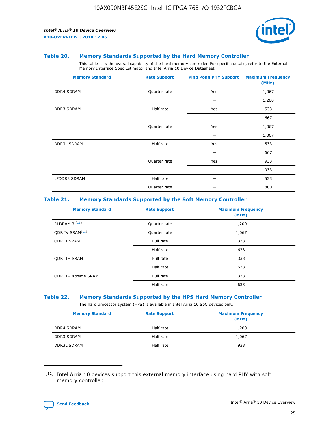

#### **Table 20. Memory Standards Supported by the Hard Memory Controller**

This table lists the overall capability of the hard memory controller. For specific details, refer to the External Memory Interface Spec Estimator and Intel Arria 10 Device Datasheet.

| <b>Memory Standard</b> | <b>Rate Support</b> | <b>Ping Pong PHY Support</b> | <b>Maximum Frequency</b><br>(MHz) |
|------------------------|---------------------|------------------------------|-----------------------------------|
| <b>DDR4 SDRAM</b>      | Quarter rate        | Yes                          | 1,067                             |
|                        |                     |                              | 1,200                             |
| DDR3 SDRAM             | Half rate           | Yes                          | 533                               |
|                        |                     |                              | 667                               |
|                        | Quarter rate        | Yes                          | 1,067                             |
|                        |                     |                              | 1,067                             |
| <b>DDR3L SDRAM</b>     | Half rate           | Yes                          | 533                               |
|                        |                     |                              | 667                               |
|                        | Quarter rate        | Yes                          | 933                               |
|                        |                     |                              | 933                               |
| LPDDR3 SDRAM           | Half rate           |                              | 533                               |
|                        | Quarter rate        |                              | 800                               |

#### **Table 21. Memory Standards Supported by the Soft Memory Controller**

| <b>Memory Standard</b>      | <b>Rate Support</b> | <b>Maximum Frequency</b><br>(MHz) |
|-----------------------------|---------------------|-----------------------------------|
| <b>RLDRAM 3 (11)</b>        | Quarter rate        | 1,200                             |
| ODR IV SRAM <sup>(11)</sup> | Quarter rate        | 1,067                             |
| <b>ODR II SRAM</b>          | Full rate           | 333                               |
|                             | Half rate           | 633                               |
| <b>ODR II+ SRAM</b>         | Full rate           | 333                               |
|                             | Half rate           | 633                               |
| <b>ODR II+ Xtreme SRAM</b>  | Full rate           | 333                               |
|                             | Half rate           | 633                               |

#### **Table 22. Memory Standards Supported by the HPS Hard Memory Controller**

The hard processor system (HPS) is available in Intel Arria 10 SoC devices only.

| <b>Memory Standard</b> | <b>Rate Support</b> | <b>Maximum Frequency</b><br>(MHz) |
|------------------------|---------------------|-----------------------------------|
| <b>DDR4 SDRAM</b>      | Half rate           | 1,200                             |
| <b>DDR3 SDRAM</b>      | Half rate           | 1,067                             |
| <b>DDR3L SDRAM</b>     | Half rate           | 933                               |

<sup>(11)</sup> Intel Arria 10 devices support this external memory interface using hard PHY with soft memory controller.

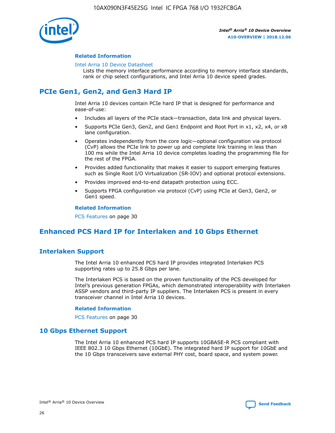

#### **Related Information**

#### [Intel Arria 10 Device Datasheet](https://www.intel.com/content/www/us/en/programmable/documentation/mcn1413182292568.html#mcn1413182153340)

Lists the memory interface performance according to memory interface standards, rank or chip select configurations, and Intel Arria 10 device speed grades.

# **PCIe Gen1, Gen2, and Gen3 Hard IP**

Intel Arria 10 devices contain PCIe hard IP that is designed for performance and ease-of-use:

- Includes all layers of the PCIe stack—transaction, data link and physical layers.
- Supports PCIe Gen3, Gen2, and Gen1 Endpoint and Root Port in x1, x2, x4, or x8 lane configuration.
- Operates independently from the core logic—optional configuration via protocol (CvP) allows the PCIe link to power up and complete link training in less than 100 ms while the Intel Arria 10 device completes loading the programming file for the rest of the FPGA.
- Provides added functionality that makes it easier to support emerging features such as Single Root I/O Virtualization (SR-IOV) and optional protocol extensions.
- Provides improved end-to-end datapath protection using ECC.
- Supports FPGA configuration via protocol (CvP) using PCIe at Gen3, Gen2, or Gen1 speed.

#### **Related Information**

PCS Features on page 30

# **Enhanced PCS Hard IP for Interlaken and 10 Gbps Ethernet**

## **Interlaken Support**

The Intel Arria 10 enhanced PCS hard IP provides integrated Interlaken PCS supporting rates up to 25.8 Gbps per lane.

The Interlaken PCS is based on the proven functionality of the PCS developed for Intel's previous generation FPGAs, which demonstrated interoperability with Interlaken ASSP vendors and third-party IP suppliers. The Interlaken PCS is present in every transceiver channel in Intel Arria 10 devices.

#### **Related Information**

PCS Features on page 30

## **10 Gbps Ethernet Support**

The Intel Arria 10 enhanced PCS hard IP supports 10GBASE-R PCS compliant with IEEE 802.3 10 Gbps Ethernet (10GbE). The integrated hard IP support for 10GbE and the 10 Gbps transceivers save external PHY cost, board space, and system power.

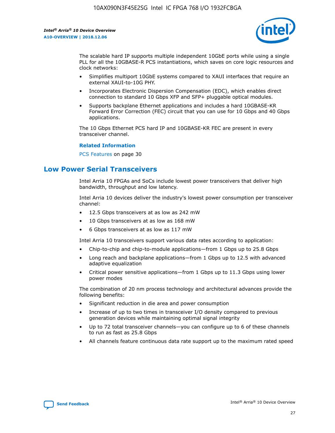

The scalable hard IP supports multiple independent 10GbE ports while using a single PLL for all the 10GBASE-R PCS instantiations, which saves on core logic resources and clock networks:

- Simplifies multiport 10GbE systems compared to XAUI interfaces that require an external XAUI-to-10G PHY.
- Incorporates Electronic Dispersion Compensation (EDC), which enables direct connection to standard 10 Gbps XFP and SFP+ pluggable optical modules.
- Supports backplane Ethernet applications and includes a hard 10GBASE-KR Forward Error Correction (FEC) circuit that you can use for 10 Gbps and 40 Gbps applications.

The 10 Gbps Ethernet PCS hard IP and 10GBASE-KR FEC are present in every transceiver channel.

#### **Related Information**

PCS Features on page 30

# **Low Power Serial Transceivers**

Intel Arria 10 FPGAs and SoCs include lowest power transceivers that deliver high bandwidth, throughput and low latency.

Intel Arria 10 devices deliver the industry's lowest power consumption per transceiver channel:

- 12.5 Gbps transceivers at as low as 242 mW
- 10 Gbps transceivers at as low as 168 mW
- 6 Gbps transceivers at as low as 117 mW

Intel Arria 10 transceivers support various data rates according to application:

- Chip-to-chip and chip-to-module applications—from 1 Gbps up to 25.8 Gbps
- Long reach and backplane applications—from 1 Gbps up to 12.5 with advanced adaptive equalization
- Critical power sensitive applications—from 1 Gbps up to 11.3 Gbps using lower power modes

The combination of 20 nm process technology and architectural advances provide the following benefits:

- Significant reduction in die area and power consumption
- Increase of up to two times in transceiver I/O density compared to previous generation devices while maintaining optimal signal integrity
- Up to 72 total transceiver channels—you can configure up to 6 of these channels to run as fast as 25.8 Gbps
- All channels feature continuous data rate support up to the maximum rated speed

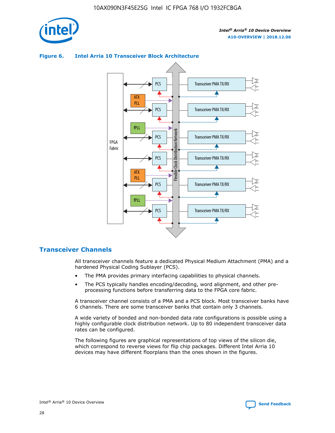

## Transceiver PMA TX/RX PCS ATX PLL Transceiver PMA TX/RX PCS fPLL Network Flexible Clock Distribution Network PCS Transceiver PMA TX/RX FPGA **Clock Distribution** Fabric PCS Transceiver PMA TX/RX ATX Flexible PLL PCS Transceiver PMA TX/RX ▲ fPLL Transceiver PMA TX/RX PCS 4

## **Figure 6. Intel Arria 10 Transceiver Block Architecture**

## **Transceiver Channels**

All transceiver channels feature a dedicated Physical Medium Attachment (PMA) and a hardened Physical Coding Sublayer (PCS).

- The PMA provides primary interfacing capabilities to physical channels.
- The PCS typically handles encoding/decoding, word alignment, and other preprocessing functions before transferring data to the FPGA core fabric.

A transceiver channel consists of a PMA and a PCS block. Most transceiver banks have 6 channels. There are some transceiver banks that contain only 3 channels.

A wide variety of bonded and non-bonded data rate configurations is possible using a highly configurable clock distribution network. Up to 80 independent transceiver data rates can be configured.

The following figures are graphical representations of top views of the silicon die, which correspond to reverse views for flip chip packages. Different Intel Arria 10 devices may have different floorplans than the ones shown in the figures.

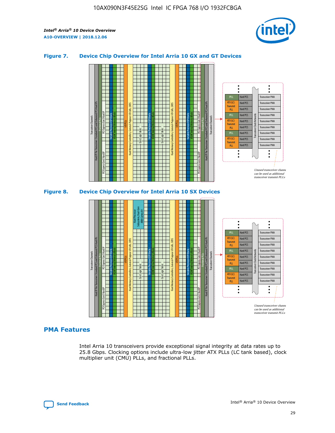

## **Figure 7. Device Chip Overview for Intel Arria 10 GX and GT Devices**



M20K Internal Memory Blocks Core Logic Fabric Transceiver Channels Hard IP Per Transceiver: Standard PCS and Enhanced PCS Hard IPs PCI Express Gen3 Hard IP Fractional PLLs M20K Internal Memory Blocks PCI Express Gen3 Hard IP Variable Precision DSP Blocks I/O PLLs Hard Memory Controllers, General-Purpose I/O Cells, LVDS Hard Processor Subsystem, Dual-Core ARM Cortex A9 M20K Internal Memory Blocks Variable Precision DSP Blocks M20K Internal Memory Blocks Core Logic Fabric I/O PLLs Hard Memory Controllers, General-Purpose I/O Cells, LVDS M20K Internal Memory Blocks Variable Precision DSP Blocks M20K Internal Memory Blocks Transceiver Channels Hard IP Per Transceiver: Standard PCS and Enhanced PCS Hard IPs PCI Express Gen3 Hard IP Fractional PLLs PCI Express Gen3 Hard IP  $\ddot{\cdot}$ Hard PCS Transceiver PMA fPLL ATX (LC) Hard PCS Transceiver PMA **Transmit** Hard PCS Transceiver PMA PLL fPLL Hard PCS Transceiver PMA Transceiver Clock Networks ATX (LC) Hard PCS Transceiver PMA Transmi Hard PCS Transceiver PMA PLL fPLL Hard PCS Transceiver PMA Transceiver PMA Hard PCS ATX (LC) **Transmit** Hard PCS Transceiver PMA PLL Unused transceiver chann can be used as additional transceiver transmit PLLs

## **PMA Features**

Intel Arria 10 transceivers provide exceptional signal integrity at data rates up to 25.8 Gbps. Clocking options include ultra-low jitter ATX PLLs (LC tank based), clock multiplier unit (CMU) PLLs, and fractional PLLs.

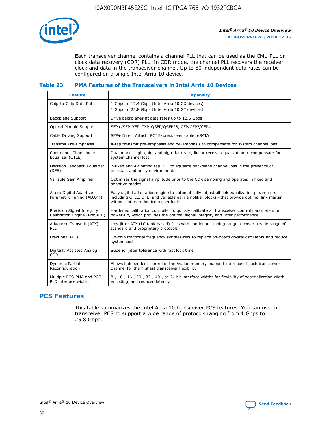

Each transceiver channel contains a channel PLL that can be used as the CMU PLL or clock data recovery (CDR) PLL. In CDR mode, the channel PLL recovers the receiver clock and data in the transceiver channel. Up to 80 independent data rates can be configured on a single Intel Arria 10 device.

#### **Table 23. PMA Features of the Transceivers in Intel Arria 10 Devices**

| <b>Feature</b>                                             | <b>Capability</b>                                                                                                                                                                                                             |
|------------------------------------------------------------|-------------------------------------------------------------------------------------------------------------------------------------------------------------------------------------------------------------------------------|
| Chip-to-Chip Data Rates                                    | 1 Gbps to 17.4 Gbps (Intel Arria 10 GX devices)<br>1 Gbps to 25.8 Gbps (Intel Arria 10 GT devices)                                                                                                                            |
| Backplane Support                                          | Drive backplanes at data rates up to 12.5 Gbps                                                                                                                                                                                |
| Optical Module Support                                     | SFP+/SFP, XFP, CXP, QSFP/QSFP28, CFP/CFP2/CFP4                                                                                                                                                                                |
| Cable Driving Support                                      | SFP+ Direct Attach, PCI Express over cable, eSATA                                                                                                                                                                             |
| Transmit Pre-Emphasis                                      | 4-tap transmit pre-emphasis and de-emphasis to compensate for system channel loss                                                                                                                                             |
| Continuous Time Linear<br>Equalizer (CTLE)                 | Dual mode, high-gain, and high-data rate, linear receive equalization to compensate for<br>system channel loss                                                                                                                |
| Decision Feedback Equalizer<br>(DFE)                       | 7-fixed and 4-floating tap DFE to equalize backplane channel loss in the presence of<br>crosstalk and noisy environments                                                                                                      |
| Variable Gain Amplifier                                    | Optimizes the signal amplitude prior to the CDR sampling and operates in fixed and<br>adaptive modes                                                                                                                          |
| Altera Digital Adaptive<br>Parametric Tuning (ADAPT)       | Fully digital adaptation engine to automatically adjust all link equalization parameters-<br>including CTLE, DFE, and variable gain amplifier blocks—that provide optimal link margin<br>without intervention from user logic |
| Precision Signal Integrity<br>Calibration Engine (PreSICE) | Hardened calibration controller to quickly calibrate all transceiver control parameters on<br>power-up, which provides the optimal signal integrity and jitter performance                                                    |
| Advanced Transmit (ATX)<br><b>PLL</b>                      | Low jitter ATX (LC tank based) PLLs with continuous tuning range to cover a wide range of<br>standard and proprietary protocols                                                                                               |
| <b>Fractional PLLs</b>                                     | On-chip fractional frequency synthesizers to replace on-board crystal oscillators and reduce<br>system cost                                                                                                                   |
| Digitally Assisted Analog<br><b>CDR</b>                    | Superior jitter tolerance with fast lock time                                                                                                                                                                                 |
| Dynamic Partial<br>Reconfiguration                         | Allows independent control of the Avalon memory-mapped interface of each transceiver<br>channel for the highest transceiver flexibility                                                                                       |
| Multiple PCS-PMA and PCS-<br>PLD interface widths          | 8-, 10-, 16-, 20-, 32-, 40-, or 64-bit interface widths for flexibility of deserialization width,<br>encoding, and reduced latency                                                                                            |

## **PCS Features**

This table summarizes the Intel Arria 10 transceiver PCS features. You can use the transceiver PCS to support a wide range of protocols ranging from 1 Gbps to 25.8 Gbps.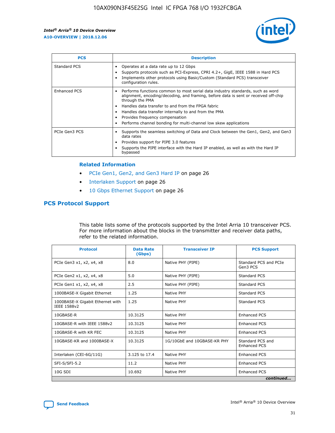

| <b>PCS</b>    | <b>Description</b>                                                                                                                                                                                                                                                                                                                                                                                             |
|---------------|----------------------------------------------------------------------------------------------------------------------------------------------------------------------------------------------------------------------------------------------------------------------------------------------------------------------------------------------------------------------------------------------------------------|
| Standard PCS  | Operates at a data rate up to 12 Gbps<br>Supports protocols such as PCI-Express, CPRI 4.2+, GigE, IEEE 1588 in Hard PCS<br>Implements other protocols using Basic/Custom (Standard PCS) transceiver<br>configuration rules.                                                                                                                                                                                    |
| Enhanced PCS  | Performs functions common to most serial data industry standards, such as word<br>alignment, encoding/decoding, and framing, before data is sent or received off-chip<br>through the PMA<br>• Handles data transfer to and from the FPGA fabric<br>Handles data transfer internally to and from the PMA<br>Provides frequency compensation<br>Performs channel bonding for multi-channel low skew applications |
| PCIe Gen3 PCS | Supports the seamless switching of Data and Clock between the Gen1, Gen2, and Gen3<br>data rates<br>Provides support for PIPE 3.0 features<br>Supports the PIPE interface with the Hard IP enabled, as well as with the Hard IP<br>bypassed                                                                                                                                                                    |

#### **Related Information**

- PCIe Gen1, Gen2, and Gen3 Hard IP on page 26
- Interlaken Support on page 26
- 10 Gbps Ethernet Support on page 26

## **PCS Protocol Support**

This table lists some of the protocols supported by the Intel Arria 10 transceiver PCS. For more information about the blocks in the transmitter and receiver data paths, refer to the related information.

| <b>Protocol</b>                                 | <b>Data Rate</b><br>(Gbps) | <b>Transceiver IP</b>       | <b>PCS Support</b>                      |
|-------------------------------------------------|----------------------------|-----------------------------|-----------------------------------------|
| PCIe Gen3 x1, x2, x4, x8                        | 8.0                        | Native PHY (PIPE)           | Standard PCS and PCIe<br>Gen3 PCS       |
| PCIe Gen2 x1, x2, x4, x8                        | 5.0                        | Native PHY (PIPE)           | <b>Standard PCS</b>                     |
| PCIe Gen1 x1, x2, x4, x8                        | 2.5                        | Native PHY (PIPE)           | Standard PCS                            |
| 1000BASE-X Gigabit Ethernet                     | 1.25                       | Native PHY                  | <b>Standard PCS</b>                     |
| 1000BASE-X Gigabit Ethernet with<br>IEEE 1588v2 | 1.25                       | Native PHY                  | Standard PCS                            |
| 10GBASE-R                                       | 10.3125                    | Native PHY                  | Enhanced PCS                            |
| 10GBASE-R with IEEE 1588v2                      | 10.3125                    | Native PHY                  | <b>Enhanced PCS</b>                     |
| 10GBASE-R with KR FEC                           | 10.3125                    | Native PHY                  | Enhanced PCS                            |
| 10GBASE-KR and 1000BASE-X                       | 10.3125                    | 1G/10GbE and 10GBASE-KR PHY | Standard PCS and<br><b>Enhanced PCS</b> |
| Interlaken (CEI-6G/11G)                         | 3.125 to 17.4              | Native PHY                  | <b>Enhanced PCS</b>                     |
| SFI-S/SFI-5.2                                   | 11.2                       | Native PHY                  | <b>Enhanced PCS</b>                     |
| 10G SDI                                         | 10.692                     | Native PHY                  | Enhanced PCS                            |
|                                                 |                            |                             | continued                               |

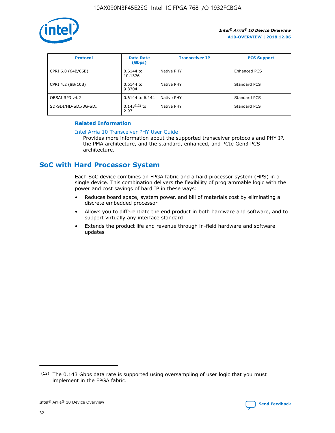

| <b>Protocol</b>      | <b>Data Rate</b><br>(Gbps) | <b>Transceiver IP</b> | <b>PCS Support</b> |
|----------------------|----------------------------|-----------------------|--------------------|
| CPRI 6.0 (64B/66B)   | 0.6144 to<br>10.1376       | Native PHY            | Enhanced PCS       |
| CPRI 4.2 (8B/10B)    | $0.6144$ to<br>9.8304      | Native PHY            | Standard PCS       |
| OBSAI RP3 v4.2       | 0.6144 to 6.144            | Native PHY            | Standard PCS       |
| SD-SDI/HD-SDI/3G-SDI | $0.143(12)$ to<br>2.97     | Native PHY            | Standard PCS       |

## **Related Information**

#### [Intel Arria 10 Transceiver PHY User Guide](https://www.intel.com/content/www/us/en/programmable/documentation/nik1398707230472.html#nik1398707091164)

Provides more information about the supported transceiver protocols and PHY IP, the PMA architecture, and the standard, enhanced, and PCIe Gen3 PCS architecture.

# **SoC with Hard Processor System**

Each SoC device combines an FPGA fabric and a hard processor system (HPS) in a single device. This combination delivers the flexibility of programmable logic with the power and cost savings of hard IP in these ways:

- Reduces board space, system power, and bill of materials cost by eliminating a discrete embedded processor
- Allows you to differentiate the end product in both hardware and software, and to support virtually any interface standard
- Extends the product life and revenue through in-field hardware and software updates

 $(12)$  The 0.143 Gbps data rate is supported using oversampling of user logic that you must implement in the FPGA fabric.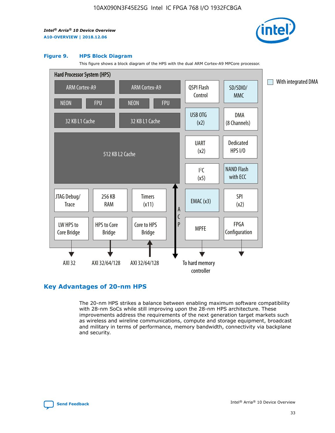

#### **Figure 9. HPS Block Diagram**

This figure shows a block diagram of the HPS with the dual ARM Cortex-A9 MPCore processor.



## **Key Advantages of 20-nm HPS**

The 20-nm HPS strikes a balance between enabling maximum software compatibility with 28-nm SoCs while still improving upon the 28-nm HPS architecture. These improvements address the requirements of the next generation target markets such as wireless and wireline communications, compute and storage equipment, broadcast and military in terms of performance, memory bandwidth, connectivity via backplane and security.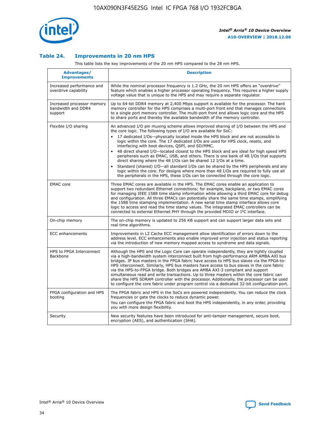

## **Table 24. Improvements in 20 nm HPS**

This table lists the key improvements of the 20 nm HPS compared to the 28 nm HPS.

| Advantages/<br><b>Improvements</b>                          | <b>Description</b>                                                                                                                                                                                                                                                                                                                                                                                                                                                                                                                                                                                                                                                                                                                                                                                                                                                                                                                                |
|-------------------------------------------------------------|---------------------------------------------------------------------------------------------------------------------------------------------------------------------------------------------------------------------------------------------------------------------------------------------------------------------------------------------------------------------------------------------------------------------------------------------------------------------------------------------------------------------------------------------------------------------------------------------------------------------------------------------------------------------------------------------------------------------------------------------------------------------------------------------------------------------------------------------------------------------------------------------------------------------------------------------------|
| Increased performance and<br>overdrive capability           | While the nominal processor frequency is 1.2 GHz, the 20 nm HPS offers an "overdrive"<br>feature which enables a higher processor operating frequency. This requires a higher supply<br>voltage value that is unique to the HPS and may require a separate regulator.                                                                                                                                                                                                                                                                                                                                                                                                                                                                                                                                                                                                                                                                             |
| Increased processor memory<br>bandwidth and DDR4<br>support | Up to 64-bit DDR4 memory at 2,400 Mbps support is available for the processor. The hard<br>memory controller for the HPS comprises a multi-port front end that manages connections<br>to a single port memory controller. The multi-port front end allows logic core and the HPS<br>to share ports and thereby the available bandwidth of the memory controller.                                                                                                                                                                                                                                                                                                                                                                                                                                                                                                                                                                                  |
| Flexible I/O sharing                                        | An advanced I/O pin muxing scheme allows improved sharing of I/O between the HPS and<br>the core logic. The following types of I/O are available for SoC:<br>$\bullet$<br>17 dedicated I/Os-physically located inside the HPS block and are not accessible to<br>logic within the core. The 17 dedicated I/Os are used for HPS clock, resets, and<br>interfacing with boot devices, QSPI, and SD/MMC.<br>48 direct shared I/O-located closest to the HPS block and are ideal for high speed HPS<br>$\bullet$<br>peripherals such as EMAC, USB, and others. There is one bank of 48 I/Os that supports<br>direct sharing where the 48 I/Os can be shared 12 I/Os at a time.<br>Standard (shared) I/O-all standard I/Os can be shared by the HPS peripherals and any<br>logic within the core. For designs where more than 48 I/Os are required to fully use all<br>the peripherals in the HPS, these I/Os can be connected through the core logic. |
| <b>EMAC</b> core                                            | Three EMAC cores are available in the HPS. The EMAC cores enable an application to<br>support two redundant Ethernet connections; for example, backplane, or two EMAC cores<br>for managing IEEE 1588 time stamp information while allowing a third EMAC core for debug<br>and configuration. All three EMACs can potentially share the same time stamps, simplifying<br>the 1588 time stamping implementation. A new serial time stamp interface allows core<br>logic to access and read the time stamp values. The integrated EMAC controllers can be<br>connected to external Ethernet PHY through the provided MDIO or I <sup>2</sup> C interface.                                                                                                                                                                                                                                                                                            |
| On-chip memory                                              | The on-chip memory is updated to 256 KB support and can support larger data sets and<br>real time algorithms.                                                                                                                                                                                                                                                                                                                                                                                                                                                                                                                                                                                                                                                                                                                                                                                                                                     |
| <b>ECC</b> enhancements                                     | Improvements in L2 Cache ECC management allow identification of errors down to the<br>address level. ECC enhancements also enable improved error injection and status reporting<br>via the introduction of new memory mapped access to syndrome and data signals.                                                                                                                                                                                                                                                                                                                                                                                                                                                                                                                                                                                                                                                                                 |
| HPS to FPGA Interconnect<br>Backbone                        | Although the HPS and the Logic Core can operate independently, they are tightly coupled<br>via a high-bandwidth system interconnect built from high-performance ARM AMBA AXI bus<br>bridges. IP bus masters in the FPGA fabric have access to HPS bus slaves via the FPGA-to-<br>HPS interconnect. Similarly, HPS bus masters have access to bus slaves in the core fabric<br>via the HPS-to-FPGA bridge. Both bridges are AMBA AXI-3 compliant and support<br>simultaneous read and write transactions. Up to three masters within the core fabric can<br>share the HPS SDRAM controller with the processor. Additionally, the processor can be used<br>to configure the core fabric under program control via a dedicated 32-bit configuration port.                                                                                                                                                                                            |
| FPGA configuration and HPS<br>booting                       | The FPGA fabric and HPS in the SoCs are powered independently. You can reduce the clock<br>frequencies or gate the clocks to reduce dynamic power.<br>You can configure the FPGA fabric and boot the HPS independently, in any order, providing<br>you with more design flexibility.                                                                                                                                                                                                                                                                                                                                                                                                                                                                                                                                                                                                                                                              |
| Security                                                    | New security features have been introduced for anti-tamper management, secure boot,<br>encryption (AES), and authentication (SHA).                                                                                                                                                                                                                                                                                                                                                                                                                                                                                                                                                                                                                                                                                                                                                                                                                |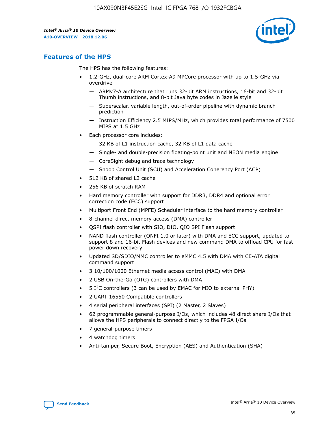

## **Features of the HPS**

The HPS has the following features:

- 1.2-GHz, dual-core ARM Cortex-A9 MPCore processor with up to 1.5-GHz via overdrive
	- ARMv7-A architecture that runs 32-bit ARM instructions, 16-bit and 32-bit Thumb instructions, and 8-bit Java byte codes in Jazelle style
	- Superscalar, variable length, out-of-order pipeline with dynamic branch prediction
	- Instruction Efficiency 2.5 MIPS/MHz, which provides total performance of 7500 MIPS at 1.5 GHz
- Each processor core includes:
	- 32 KB of L1 instruction cache, 32 KB of L1 data cache
	- Single- and double-precision floating-point unit and NEON media engine
	- CoreSight debug and trace technology
	- Snoop Control Unit (SCU) and Acceleration Coherency Port (ACP)
- 512 KB of shared L2 cache
- 256 KB of scratch RAM
- Hard memory controller with support for DDR3, DDR4 and optional error correction code (ECC) support
- Multiport Front End (MPFE) Scheduler interface to the hard memory controller
- 8-channel direct memory access (DMA) controller
- QSPI flash controller with SIO, DIO, QIO SPI Flash support
- NAND flash controller (ONFI 1.0 or later) with DMA and ECC support, updated to support 8 and 16-bit Flash devices and new command DMA to offload CPU for fast power down recovery
- Updated SD/SDIO/MMC controller to eMMC 4.5 with DMA with CE-ATA digital command support
- 3 10/100/1000 Ethernet media access control (MAC) with DMA
- 2 USB On-the-Go (OTG) controllers with DMA
- $\bullet$  5 I<sup>2</sup>C controllers (3 can be used by EMAC for MIO to external PHY)
- 2 UART 16550 Compatible controllers
- 4 serial peripheral interfaces (SPI) (2 Master, 2 Slaves)
- 62 programmable general-purpose I/Os, which includes 48 direct share I/Os that allows the HPS peripherals to connect directly to the FPGA I/Os
- 7 general-purpose timers
- 4 watchdog timers
- Anti-tamper, Secure Boot, Encryption (AES) and Authentication (SHA)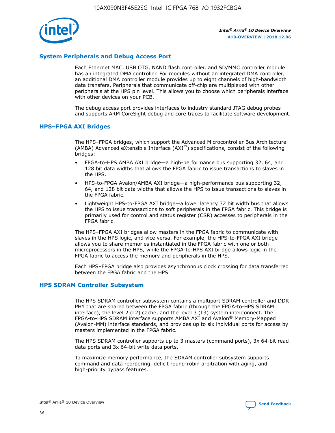

## **System Peripherals and Debug Access Port**

Each Ethernet MAC, USB OTG, NAND flash controller, and SD/MMC controller module has an integrated DMA controller. For modules without an integrated DMA controller, an additional DMA controller module provides up to eight channels of high-bandwidth data transfers. Peripherals that communicate off-chip are multiplexed with other peripherals at the HPS pin level. This allows you to choose which peripherals interface with other devices on your PCB.

The debug access port provides interfaces to industry standard JTAG debug probes and supports ARM CoreSight debug and core traces to facilitate software development.

## **HPS–FPGA AXI Bridges**

The HPS–FPGA bridges, which support the Advanced Microcontroller Bus Architecture (AMBA) Advanced eXtensible Interface (AXI™) specifications, consist of the following bridges:

- FPGA-to-HPS AMBA AXI bridge—a high-performance bus supporting 32, 64, and 128 bit data widths that allows the FPGA fabric to issue transactions to slaves in the HPS.
- HPS-to-FPGA Avalon/AMBA AXI bridge—a high-performance bus supporting 32, 64, and 128 bit data widths that allows the HPS to issue transactions to slaves in the FPGA fabric.
- Lightweight HPS-to-FPGA AXI bridge—a lower latency 32 bit width bus that allows the HPS to issue transactions to soft peripherals in the FPGA fabric. This bridge is primarily used for control and status register (CSR) accesses to peripherals in the FPGA fabric.

The HPS–FPGA AXI bridges allow masters in the FPGA fabric to communicate with slaves in the HPS logic, and vice versa. For example, the HPS-to-FPGA AXI bridge allows you to share memories instantiated in the FPGA fabric with one or both microprocessors in the HPS, while the FPGA-to-HPS AXI bridge allows logic in the FPGA fabric to access the memory and peripherals in the HPS.

Each HPS–FPGA bridge also provides asynchronous clock crossing for data transferred between the FPGA fabric and the HPS.

#### **HPS SDRAM Controller Subsystem**

The HPS SDRAM controller subsystem contains a multiport SDRAM controller and DDR PHY that are shared between the FPGA fabric (through the FPGA-to-HPS SDRAM interface), the level 2 (L2) cache, and the level 3 (L3) system interconnect. The FPGA-to-HPS SDRAM interface supports AMBA AXI and Avalon® Memory-Mapped (Avalon-MM) interface standards, and provides up to six individual ports for access by masters implemented in the FPGA fabric.

The HPS SDRAM controller supports up to 3 masters (command ports), 3x 64-bit read data ports and 3x 64-bit write data ports.

To maximize memory performance, the SDRAM controller subsystem supports command and data reordering, deficit round-robin arbitration with aging, and high-priority bypass features.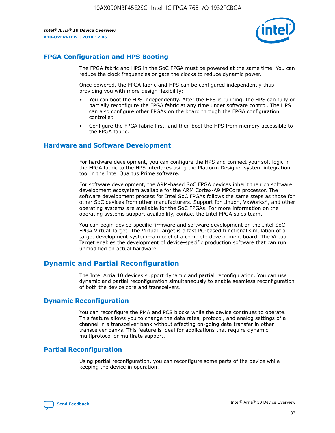

## **FPGA Configuration and HPS Booting**

The FPGA fabric and HPS in the SoC FPGA must be powered at the same time. You can reduce the clock frequencies or gate the clocks to reduce dynamic power.

Once powered, the FPGA fabric and HPS can be configured independently thus providing you with more design flexibility:

- You can boot the HPS independently. After the HPS is running, the HPS can fully or partially reconfigure the FPGA fabric at any time under software control. The HPS can also configure other FPGAs on the board through the FPGA configuration controller.
- Configure the FPGA fabric first, and then boot the HPS from memory accessible to the FPGA fabric.

## **Hardware and Software Development**

For hardware development, you can configure the HPS and connect your soft logic in the FPGA fabric to the HPS interfaces using the Platform Designer system integration tool in the Intel Quartus Prime software.

For software development, the ARM-based SoC FPGA devices inherit the rich software development ecosystem available for the ARM Cortex-A9 MPCore processor. The software development process for Intel SoC FPGAs follows the same steps as those for other SoC devices from other manufacturers. Support for Linux\*, VxWorks\*, and other operating systems are available for the SoC FPGAs. For more information on the operating systems support availability, contact the Intel FPGA sales team.

You can begin device-specific firmware and software development on the Intel SoC FPGA Virtual Target. The Virtual Target is a fast PC-based functional simulation of a target development system—a model of a complete development board. The Virtual Target enables the development of device-specific production software that can run unmodified on actual hardware.

## **Dynamic and Partial Reconfiguration**

The Intel Arria 10 devices support dynamic and partial reconfiguration. You can use dynamic and partial reconfiguration simultaneously to enable seamless reconfiguration of both the device core and transceivers.

## **Dynamic Reconfiguration**

You can reconfigure the PMA and PCS blocks while the device continues to operate. This feature allows you to change the data rates, protocol, and analog settings of a channel in a transceiver bank without affecting on-going data transfer in other transceiver banks. This feature is ideal for applications that require dynamic multiprotocol or multirate support.

## **Partial Reconfiguration**

Using partial reconfiguration, you can reconfigure some parts of the device while keeping the device in operation.

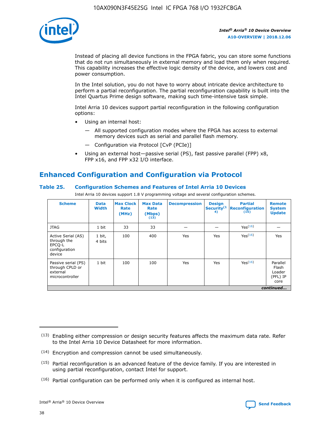

Instead of placing all device functions in the FPGA fabric, you can store some functions that do not run simultaneously in external memory and load them only when required. This capability increases the effective logic density of the device, and lowers cost and power consumption.

In the Intel solution, you do not have to worry about intricate device architecture to perform a partial reconfiguration. The partial reconfiguration capability is built into the Intel Quartus Prime design software, making such time-intensive task simple.

Intel Arria 10 devices support partial reconfiguration in the following configuration options:

- Using an internal host:
	- All supported configuration modes where the FPGA has access to external memory devices such as serial and parallel flash memory.
	- Configuration via Protocol [CvP (PCIe)]
- Using an external host—passive serial (PS), fast passive parallel (FPP) x8, FPP x16, and FPP x32 I/O interface.

# **Enhanced Configuration and Configuration via Protocol**

## **Table 25. Configuration Schemes and Features of Intel Arria 10 Devices**

Intel Arria 10 devices support 1.8 V programming voltage and several configuration schemes.

| <b>Scheme</b>                                                          | <b>Data</b><br><b>Width</b> | <b>Max Clock</b><br>Rate<br>(MHz) | <b>Max Data</b><br>Rate<br>(Mbps)<br>(13) | <b>Decompression</b> | <b>Design</b><br>Security <sup>(1</sup><br>4) | <b>Partial</b><br>Reconfiguration<br>(15) | <b>Remote</b><br><b>System</b><br><b>Update</b> |
|------------------------------------------------------------------------|-----------------------------|-----------------------------------|-------------------------------------------|----------------------|-----------------------------------------------|-------------------------------------------|-------------------------------------------------|
| <b>JTAG</b>                                                            | 1 bit                       | 33                                | 33                                        |                      |                                               | Yes <sup>(16)</sup>                       |                                                 |
| Active Serial (AS)<br>through the<br>EPCO-L<br>configuration<br>device | 1 bit,<br>4 bits            | 100                               | 400                                       | Yes                  | Yes                                           | $Y_{PS}(16)$                              | Yes                                             |
| Passive serial (PS)<br>through CPLD or<br>external<br>microcontroller  | 1 bit                       | 100                               | 100                                       | Yes                  | Yes                                           | Yes(16)                                   | Parallel<br>Flash<br>Loader<br>(PFL) IP<br>core |
|                                                                        |                             |                                   |                                           |                      |                                               |                                           | continued                                       |

<sup>(13)</sup> Enabling either compression or design security features affects the maximum data rate. Refer to the Intel Arria 10 Device Datasheet for more information.

<sup>(14)</sup> Encryption and compression cannot be used simultaneously.

 $(15)$  Partial reconfiguration is an advanced feature of the device family. If you are interested in using partial reconfiguration, contact Intel for support.

 $(16)$  Partial configuration can be performed only when it is configured as internal host.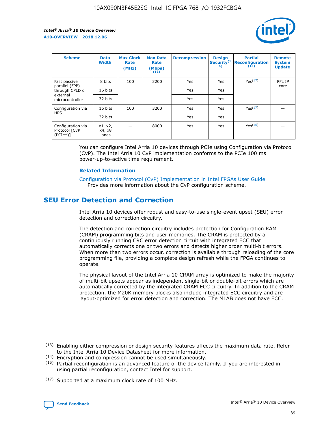

| <b>Scheme</b>                                    | <b>Data</b><br><b>Width</b> | <b>Max Clock</b><br>Rate<br>(MHz) | <b>Max Data</b><br>Rate<br>(Mbps)<br>(13) | <b>Decompression</b> | <b>Design</b><br>Security <sup>(1</sup><br>4) | <b>Partial</b><br><b>Reconfiguration</b><br>(15) | <b>Remote</b><br><b>System</b><br><b>Update</b> |
|--------------------------------------------------|-----------------------------|-----------------------------------|-------------------------------------------|----------------------|-----------------------------------------------|--------------------------------------------------|-------------------------------------------------|
| Fast passive                                     | 8 bits                      | 100                               | 3200                                      | Yes                  | Yes                                           | Yes(17)                                          | PFL IP                                          |
| parallel (FPP)<br>through CPLD or                | 16 bits                     |                                   |                                           | Yes                  | Yes                                           |                                                  | core                                            |
| external<br>microcontroller                      | 32 bits                     |                                   |                                           | Yes                  | Yes                                           |                                                  |                                                 |
| Configuration via                                | 16 bits                     | 100                               | 3200                                      | Yes                  | Yes                                           | Yes <sup>(17)</sup>                              |                                                 |
| <b>HPS</b>                                       | 32 bits                     |                                   |                                           | Yes                  | Yes                                           |                                                  |                                                 |
| Configuration via<br>Protocol [CvP<br>$(PCIe^*)$ | x1, x2,<br>x4, x8<br>lanes  |                                   | 8000                                      | Yes                  | Yes                                           | Yes(16)                                          |                                                 |

You can configure Intel Arria 10 devices through PCIe using Configuration via Protocol (CvP). The Intel Arria 10 CvP implementation conforms to the PCIe 100 ms power-up-to-active time requirement.

#### **Related Information**

[Configuration via Protocol \(CvP\) Implementation in Intel FPGAs User Guide](https://www.intel.com/content/www/us/en/programmable/documentation/dsu1441819344145.html#dsu1442269728522) Provides more information about the CvP configuration scheme.

# **SEU Error Detection and Correction**

Intel Arria 10 devices offer robust and easy-to-use single-event upset (SEU) error detection and correction circuitry.

The detection and correction circuitry includes protection for Configuration RAM (CRAM) programming bits and user memories. The CRAM is protected by a continuously running CRC error detection circuit with integrated ECC that automatically corrects one or two errors and detects higher order multi-bit errors. When more than two errors occur, correction is available through reloading of the core programming file, providing a complete design refresh while the FPGA continues to operate.

The physical layout of the Intel Arria 10 CRAM array is optimized to make the majority of multi-bit upsets appear as independent single-bit or double-bit errors which are automatically corrected by the integrated CRAM ECC circuitry. In addition to the CRAM protection, the M20K memory blocks also include integrated ECC circuitry and are layout-optimized for error detection and correction. The MLAB does not have ECC.

<sup>(17)</sup> Supported at a maximum clock rate of 100 MHz.



 $(13)$  Enabling either compression or design security features affects the maximum data rate. Refer to the Intel Arria 10 Device Datasheet for more information.

<sup>(14)</sup> Encryption and compression cannot be used simultaneously.

 $(15)$  Partial reconfiguration is an advanced feature of the device family. If you are interested in using partial reconfiguration, contact Intel for support.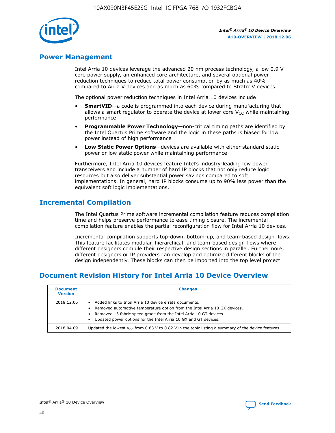

## **Power Management**

Intel Arria 10 devices leverage the advanced 20 nm process technology, a low 0.9 V core power supply, an enhanced core architecture, and several optional power reduction techniques to reduce total power consumption by as much as 40% compared to Arria V devices and as much as 60% compared to Stratix V devices.

The optional power reduction techniques in Intel Arria 10 devices include:

- **SmartVID**—a code is programmed into each device during manufacturing that allows a smart regulator to operate the device at lower core  $V_{CC}$  while maintaining performance
- **Programmable Power Technology**—non-critical timing paths are identified by the Intel Quartus Prime software and the logic in these paths is biased for low power instead of high performance
- **Low Static Power Options**—devices are available with either standard static power or low static power while maintaining performance

Furthermore, Intel Arria 10 devices feature Intel's industry-leading low power transceivers and include a number of hard IP blocks that not only reduce logic resources but also deliver substantial power savings compared to soft implementations. In general, hard IP blocks consume up to 90% less power than the equivalent soft logic implementations.

# **Incremental Compilation**

The Intel Quartus Prime software incremental compilation feature reduces compilation time and helps preserve performance to ease timing closure. The incremental compilation feature enables the partial reconfiguration flow for Intel Arria 10 devices.

Incremental compilation supports top-down, bottom-up, and team-based design flows. This feature facilitates modular, hierarchical, and team-based design flows where different designers compile their respective design sections in parallel. Furthermore, different designers or IP providers can develop and optimize different blocks of the design independently. These blocks can then be imported into the top level project.

# **Document Revision History for Intel Arria 10 Device Overview**

| <b>Document</b><br><b>Version</b> | <b>Changes</b>                                                                                                                                                                                                                                                              |
|-----------------------------------|-----------------------------------------------------------------------------------------------------------------------------------------------------------------------------------------------------------------------------------------------------------------------------|
| 2018.12.06                        | Added links to Intel Arria 10 device errata documents.<br>Removed automotive temperature option from the Intel Arria 10 GX devices.<br>Removed -3 fabric speed grade from the Intel Arria 10 GT devices.<br>Updated power options for the Intel Arria 10 GX and GT devices. |
| 2018.04.09                        | Updated the lowest $V_{CC}$ from 0.83 V to 0.82 V in the topic listing a summary of the device features.                                                                                                                                                                    |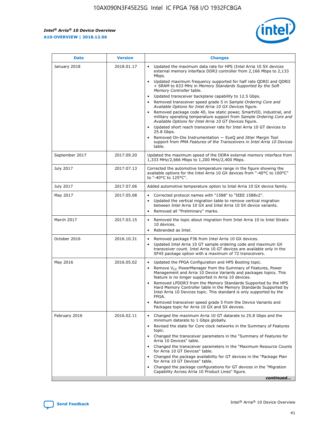*Intel® Arria® 10 Device Overview* **A10-OVERVIEW | 2018.12.06**



| <b>Date</b>    | <b>Version</b> | <b>Changes</b>                                                                                                                                                                                                                                                                                                                                                                                                                                                                                                                                                                                                                                                                                                                                                                                                                                                                                                                                                                         |
|----------------|----------------|----------------------------------------------------------------------------------------------------------------------------------------------------------------------------------------------------------------------------------------------------------------------------------------------------------------------------------------------------------------------------------------------------------------------------------------------------------------------------------------------------------------------------------------------------------------------------------------------------------------------------------------------------------------------------------------------------------------------------------------------------------------------------------------------------------------------------------------------------------------------------------------------------------------------------------------------------------------------------------------|
| January 2018   | 2018.01.17     | Updated the maximum data rate for HPS (Intel Arria 10 SX devices<br>external memory interface DDR3 controller from 2,166 Mbps to 2,133<br>Mbps.<br>Updated maximum frequency supported for half rate QDRII and QDRII<br>+ SRAM to 633 MHz in Memory Standards Supported by the Soft<br>Memory Controller table.<br>Updated transceiver backplane capability to 12.5 Gbps.<br>$\bullet$<br>Removed transceiver speed grade 5 in Sample Ordering Core and<br>$\bullet$<br>Available Options for Intel Arria 10 GX Devices figure.<br>Removed package code 40, low static power, SmartVID, industrial, and<br>military operating temperature support from Sample Ordering Core and<br>Available Options for Intel Arria 10 GT Devices figure.<br>Updated short reach transceiver rate for Intel Arria 10 GT devices to<br>25.8 Gbps.<br>Removed On-Die Instrumentation - EyeQ and Jitter Margin Tool<br>support from PMA Features of the Transceivers in Intel Arria 10 Devices<br>table. |
| September 2017 | 2017.09.20     | Updated the maximum speed of the DDR4 external memory interface from<br>1,333 MHz/2,666 Mbps to 1,200 MHz/2,400 Mbps.                                                                                                                                                                                                                                                                                                                                                                                                                                                                                                                                                                                                                                                                                                                                                                                                                                                                  |
| July 2017      | 2017.07.13     | Corrected the automotive temperature range in the figure showing the<br>available options for the Intel Arria 10 GX devices from "-40°C to 100°C"<br>to "-40°C to 125°C".                                                                                                                                                                                                                                                                                                                                                                                                                                                                                                                                                                                                                                                                                                                                                                                                              |
| July 2017      | 2017.07.06     | Added automotive temperature option to Intel Arria 10 GX device family.                                                                                                                                                                                                                                                                                                                                                                                                                                                                                                                                                                                                                                                                                                                                                                                                                                                                                                                |
| May 2017       | 2017.05.08     | Corrected protocol names with "1588" to "IEEE 1588v2".<br>$\bullet$<br>Updated the vertical migration table to remove vertical migration<br>$\bullet$<br>between Intel Arria 10 GX and Intel Arria 10 SX device variants.<br>Removed all "Preliminary" marks.<br>$\bullet$                                                                                                                                                                                                                                                                                                                                                                                                                                                                                                                                                                                                                                                                                                             |
| March 2017     | 2017.03.15     | Removed the topic about migration from Intel Arria 10 to Intel Stratix<br>$\bullet$<br>10 devices.<br>Rebranded as Intel.<br>$\bullet$                                                                                                                                                                                                                                                                                                                                                                                                                                                                                                                                                                                                                                                                                                                                                                                                                                                 |
| October 2016   | 2016.10.31     | Removed package F36 from Intel Arria 10 GX devices.<br>Updated Intel Arria 10 GT sample ordering code and maximum GX<br>$\bullet$<br>transceiver count. Intel Arria 10 GT devices are available only in the<br>SF45 package option with a maximum of 72 transceivers.                                                                                                                                                                                                                                                                                                                                                                                                                                                                                                                                                                                                                                                                                                                  |
| May 2016       | 2016.05.02     | Updated the FPGA Configuration and HPS Booting topic.<br>$\bullet$<br>Remove V <sub>CC</sub> PowerManager from the Summary of Features, Power<br>Management and Arria 10 Device Variants and packages topics. This<br>feature is no longer supported in Arria 10 devices.<br>Removed LPDDR3 from the Memory Standards Supported by the HPS<br>Hard Memory Controller table in the Memory Standards Supported by<br>Intel Arria 10 Devices topic. This standard is only supported by the<br>FPGA.<br>Removed transceiver speed grade 5 from the Device Variants and<br>Packages topic for Arria 10 GX and SX devices.                                                                                                                                                                                                                                                                                                                                                                   |
| February 2016  | 2016.02.11     | Changed the maximum Arria 10 GT datarate to 25.8 Gbps and the<br>minimum datarate to 1 Gbps globally.<br>Revised the state for Core clock networks in the Summary of Features<br>$\bullet$<br>topic.<br>Changed the transceiver parameters in the "Summary of Features for<br>$\bullet$<br>Arria 10 Devices" table.<br>• Changed the transceiver parameters in the "Maximum Resource Counts<br>for Arria 10 GT Devices" table.<br>Changed the package availability for GT devices in the "Package Plan<br>for Arria 10 GT Devices" table.<br>Changed the package configurations for GT devices in the "Migration"<br>Capability Across Arria 10 Product Lines" figure.<br>continued                                                                                                                                                                                                                                                                                                    |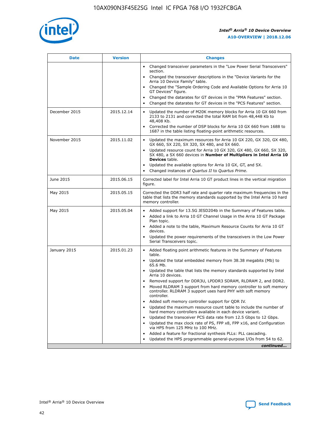

| <b>Date</b>   | <b>Version</b> | <b>Changes</b>                                                                                                                                                               |
|---------------|----------------|------------------------------------------------------------------------------------------------------------------------------------------------------------------------------|
|               |                | • Changed transceiver parameters in the "Low Power Serial Transceivers"<br>section.                                                                                          |
|               |                | • Changed the transceiver descriptions in the "Device Variants for the<br>Arria 10 Device Family" table.                                                                     |
|               |                | Changed the "Sample Ordering Code and Available Options for Arria 10<br>$\bullet$<br>GT Devices" figure.                                                                     |
|               |                | Changed the datarates for GT devices in the "PMA Features" section.                                                                                                          |
|               |                | Changed the datarates for GT devices in the "PCS Features" section.<br>$\bullet$                                                                                             |
| December 2015 | 2015.12.14     | Updated the number of M20K memory blocks for Arria 10 GX 660 from<br>2133 to 2131 and corrected the total RAM bit from 48,448 Kb to<br>48,408 Kb.                            |
|               |                | Corrected the number of DSP blocks for Arria 10 GX 660 from 1688 to<br>1687 in the table listing floating-point arithmetic resources.                                        |
| November 2015 | 2015.11.02     | Updated the maximum resources for Arria 10 GX 220, GX 320, GX 480,<br>$\bullet$<br>GX 660, SX 220, SX 320, SX 480, and SX 660.                                               |
|               |                | • Updated resource count for Arria 10 GX 320, GX 480, GX 660, SX 320,<br>SX 480, a SX 660 devices in Number of Multipliers in Intel Arria 10<br><b>Devices</b> table.        |
|               |                | Updated the available options for Arria 10 GX, GT, and SX.                                                                                                                   |
|               |                | Changed instances of Quartus II to Quartus Prime.<br>$\bullet$                                                                                                               |
| June 2015     | 2015.06.15     | Corrected label for Intel Arria 10 GT product lines in the vertical migration<br>figure.                                                                                     |
| May 2015      | 2015.05.15     | Corrected the DDR3 half rate and quarter rate maximum frequencies in the<br>table that lists the memory standards supported by the Intel Arria 10 hard<br>memory controller. |
| May 2015      | 2015.05.04     | • Added support for 13.5G JESD204b in the Summary of Features table.                                                                                                         |
|               |                | • Added a link to Arria 10 GT Channel Usage in the Arria 10 GT Package<br>Plan topic.                                                                                        |
|               |                | • Added a note to the table, Maximum Resource Counts for Arria 10 GT<br>devices.                                                                                             |
|               |                | • Updated the power requirements of the transceivers in the Low Power<br>Serial Transceivers topic.                                                                          |
| January 2015  | 2015.01.23     | • Added floating point arithmetic features in the Summary of Features<br>table.                                                                                              |
|               |                | • Updated the total embedded memory from 38.38 megabits (Mb) to<br>65.6 Mb.                                                                                                  |
|               |                | • Updated the table that lists the memory standards supported by Intel<br>Arria 10 devices.                                                                                  |
|               |                | Removed support for DDR3U, LPDDR3 SDRAM, RLDRAM 2, and DDR2.                                                                                                                 |
|               |                | Moved RLDRAM 3 support from hard memory controller to soft memory<br>controller. RLDRAM 3 support uses hard PHY with soft memory<br>controller.                              |
|               |                | Added soft memory controller support for QDR IV.<br>٠                                                                                                                        |
|               |                | Updated the maximum resource count table to include the number of<br>hard memory controllers available in each device variant.                                               |
|               |                | Updated the transceiver PCS data rate from 12.5 Gbps to 12 Gbps.<br>$\bullet$                                                                                                |
|               |                | Updated the max clock rate of PS, FPP x8, FPP x16, and Configuration<br>via HPS from 125 MHz to 100 MHz.                                                                     |
|               |                | Added a feature for fractional synthesis PLLs: PLL cascading.                                                                                                                |
|               |                | Updated the HPS programmable general-purpose I/Os from 54 to 62.<br>$\bullet$                                                                                                |
|               |                | continued                                                                                                                                                                    |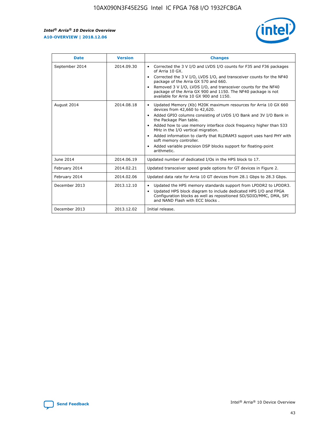r



| <b>Date</b>    | <b>Version</b> | <b>Changes</b>                                                                                                                                                                                                                                                                                                                                                                                                                                                                                                                                      |
|----------------|----------------|-----------------------------------------------------------------------------------------------------------------------------------------------------------------------------------------------------------------------------------------------------------------------------------------------------------------------------------------------------------------------------------------------------------------------------------------------------------------------------------------------------------------------------------------------------|
| September 2014 | 2014.09.30     | Corrected the 3 V I/O and LVDS I/O counts for F35 and F36 packages<br>$\bullet$<br>of Arria 10 GX.<br>Corrected the 3 V I/O, LVDS I/O, and transceiver counts for the NF40<br>$\bullet$<br>package of the Arria GX 570 and 660.<br>Removed 3 V I/O, LVDS I/O, and transceiver counts for the NF40<br>package of the Arria GX 900 and 1150. The NF40 package is not<br>available for Arria 10 GX 900 and 1150.                                                                                                                                       |
| August 2014    | 2014.08.18     | Updated Memory (Kb) M20K maximum resources for Arria 10 GX 660<br>devices from 42,660 to 42,620.<br>Added GPIO columns consisting of LVDS I/O Bank and 3V I/O Bank in<br>$\bullet$<br>the Package Plan table.<br>Added how to use memory interface clock frequency higher than 533<br>$\bullet$<br>MHz in the I/O vertical migration.<br>Added information to clarify that RLDRAM3 support uses hard PHY with<br>$\bullet$<br>soft memory controller.<br>Added variable precision DSP blocks support for floating-point<br>$\bullet$<br>arithmetic. |
| June 2014      | 2014.06.19     | Updated number of dedicated I/Os in the HPS block to 17.                                                                                                                                                                                                                                                                                                                                                                                                                                                                                            |
| February 2014  | 2014.02.21     | Updated transceiver speed grade options for GT devices in Figure 2.                                                                                                                                                                                                                                                                                                                                                                                                                                                                                 |
| February 2014  | 2014.02.06     | Updated data rate for Arria 10 GT devices from 28.1 Gbps to 28.3 Gbps.                                                                                                                                                                                                                                                                                                                                                                                                                                                                              |
| December 2013  | 2013.12.10     | Updated the HPS memory standards support from LPDDR2 to LPDDR3.<br>Updated HPS block diagram to include dedicated HPS I/O and FPGA<br>$\bullet$<br>Configuration blocks as well as repositioned SD/SDIO/MMC, DMA, SPI<br>and NAND Flash with ECC blocks.                                                                                                                                                                                                                                                                                            |
| December 2013  | 2013.12.02     | Initial release.                                                                                                                                                                                                                                                                                                                                                                                                                                                                                                                                    |